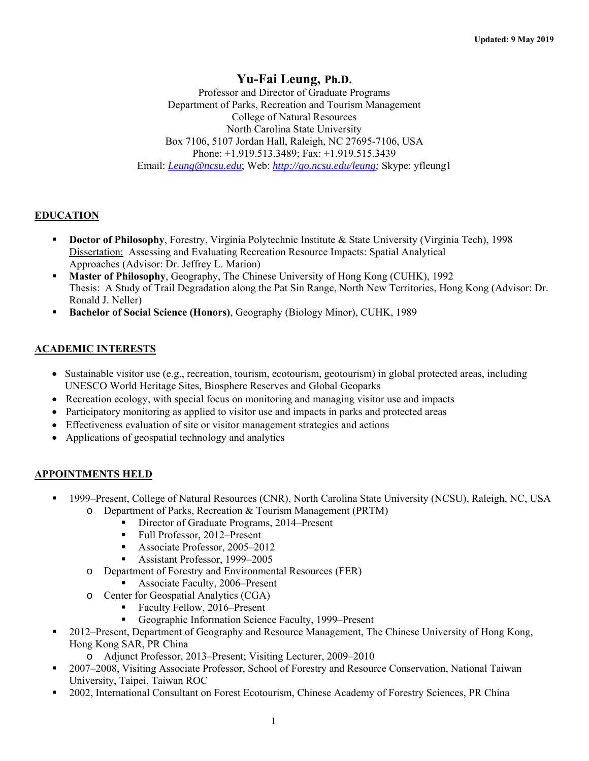# **Yu-Fai Leung, Ph.D.**

Professor and Director of Graduate Programs Department of Parks, Recreation and Tourism Management College of Natural Resources North Carolina State University Box 7106, 5107 Jordan Hall, Raleigh, NC 27695-7106, USA Phone: +1.919.513.3489; Fax: +1.919.515.3439 Email: *Leung@ncsu.edu*; Web: *http://go.ncsu.edu/leung;* Skype: yfleung1

## **EDUCATION**

- **Doctor of Philosophy**, Forestry, Virginia Polytechnic Institute & State University (Virginia Tech), 1998 Dissertation: Assessing and Evaluating Recreation Resource Impacts: Spatial Analytical Approaches (Advisor: Dr. Jeffrey L. Marion)
- **Master of Philosophy**, Geography, The Chinese University of Hong Kong (CUHK), 1992 Thesis: A Study of Trail Degradation along the Pat Sin Range, North New Territories, Hong Kong (Advisor: Dr. Ronald J. Neller)
- **Bachelor of Social Science (Honors)**, Geography (Biology Minor), CUHK, 1989

# **ACADEMIC INTERESTS**

- Sustainable visitor use (e.g., recreation, tourism, ecotourism, geotourism) in global protected areas, including UNESCO World Heritage Sites, Biosphere Reserves and Global Geoparks
- Recreation ecology, with special focus on monitoring and managing visitor use and impacts
- Participatory monitoring as applied to visitor use and impacts in parks and protected areas
- Effectiveness evaluation of site or visitor management strategies and actions
- Applications of geospatial technology and analytics

## **APPOINTMENTS HELD**

- 1999–Present, College of Natural Resources (CNR), North Carolina State University (NCSU), Raleigh, NC, USA o Department of Parks, Recreation & Tourism Management (PRTM)
	- Director of Graduate Programs, 2014–Present
		- Full Professor, 2012–Present
		- Associate Professor, 2005–2012
		- Assistant Professor, 1999–2005
	- o Department of Forestry and Environmental Resources (FER)
		- Associate Faculty, 2006–Present
	- o Center for Geospatial Analytics (CGA)
		- Faculty Fellow, 2016–Present
		- Geographic Information Science Faculty, 1999–Present
- 2012–Present, Department of Geography and Resource Management, The Chinese University of Hong Kong, Hong Kong SAR, PR China
	- o Adjunct Professor, 2013–Present; Visiting Lecturer, 2009–2010
- 2007–2008, Visiting Associate Professor, School of Forestry and Resource Conservation, National Taiwan University, Taipei, Taiwan ROC
- 2002, International Consultant on Forest Ecotourism, Chinese Academy of Forestry Sciences, PR China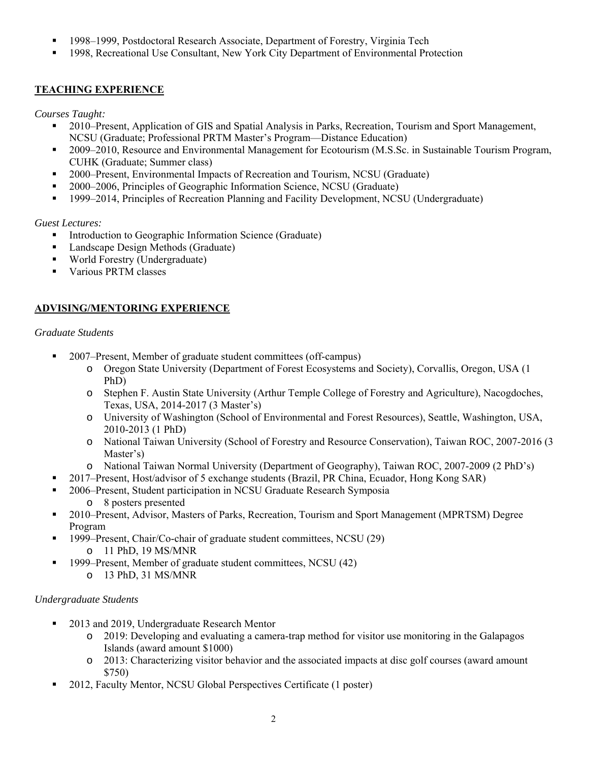- 1998–1999, Postdoctoral Research Associate, Department of Forestry, Virginia Tech
- <sup>1998</sup>, Recreational Use Consultant, New York City Department of Environmental Protection

# **TEACHING EXPERIENCE**

*Courses Taught:* 

- <sup>2010</sup>–Present, Application of GIS and Spatial Analysis in Parks, Recreation, Tourism and Sport Management, NCSU (Graduate; Professional PRTM Master's Program—Distance Education)
- <sup>2009–2010,</sup> Resource and Environmental Management for Ecotourism (M.S.Sc. in Sustainable Tourism Program, CUHK (Graduate; Summer class)
- <sup>2000</sup>–Present, Environmental Impacts of Recreation and Tourism, NCSU (Graduate)
- 2000–2006, Principles of Geographic Information Science, NCSU (Graduate)
- 1999–2014, Principles of Recreation Planning and Facility Development, NCSU (Undergraduate)

# *Guest Lectures:*

- Introduction to Geographic Information Science (Graduate)
- **Landscape Design Methods (Graduate)**
- World Forestry (Undergraduate)
- Various PRTM classes

# **ADVISING/MENTORING EXPERIENCE**

# *Graduate Students*

- 2007–Present, Member of graduate student committees (off-campus)
	- o Oregon State University (Department of Forest Ecosystems and Society), Corvallis, Oregon, USA (1 PhD)
	- o Stephen F. Austin State University (Arthur Temple College of Forestry and Agriculture), Nacogdoches, Texas, USA, 2014-2017 (3 Master's)
	- o University of Washington (School of Environmental and Forest Resources), Seattle, Washington, USA, 2010-2013 (1 PhD)
	- o National Taiwan University (School of Forestry and Resource Conservation), Taiwan ROC, 2007-2016 (3 Master's)
	- o National Taiwan Normal University (Department of Geography), Taiwan ROC, 2007-2009 (2 PhD's)
- 2017–Present, Host/advisor of 5 exchange students (Brazil, PR China, Ecuador, Hong Kong SAR)
- 2006–Present, Student participation in NCSU Graduate Research Symposia o 8 posters presented
- 2010–Present, Advisor, Masters of Parks, Recreation, Tourism and Sport Management (MPRTSM) Degree Program
- 1999–Present, Chair/Co-chair of graduate student committees, NCSU (29) o 11 PhD, 19 MS/MNR
- <sup>1999</sup>–Present, Member of graduate student committees, NCSU (42)
	- o 13 PhD, 31 MS/MNR

# *Undergraduate Students*

- <sup>2013</sup> and 2019, Undergraduate Research Mentor
	- o 2019: Developing and evaluating a camera-trap method for visitor use monitoring in the Galapagos Islands (award amount \$1000)
	- o 2013: Characterizing visitor behavior and the associated impacts at disc golf courses (award amount \$750)
- 2012, Faculty Mentor, NCSU Global Perspectives Certificate (1 poster)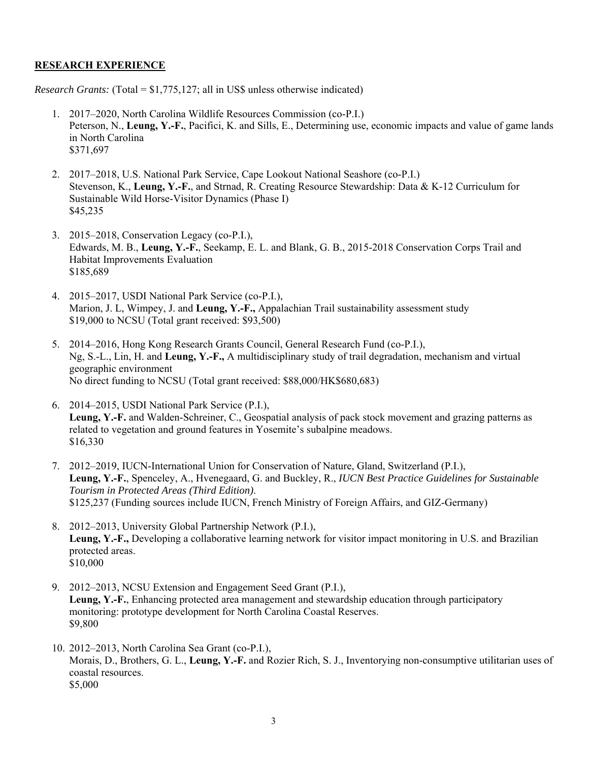## **RESEARCH EXPERIENCE**

*Research Grants:* (Total = \$1,775,127; all in US\$ unless otherwise indicated)

- 1. 2017–2020, North Carolina Wildlife Resources Commission (co-P.I.) Peterson, N., **Leung, Y.-F.**, Pacifici, K. and Sills, E., Determining use, economic impacts and value of game lands in North Carolina \$371,697
- 2. 2017–2018, U.S. National Park Service, Cape Lookout National Seashore (co-P.I.) Stevenson, K., **Leung, Y.-F.**, and Strnad, R. Creating Resource Stewardship: Data & K-12 Curriculum for Sustainable Wild Horse-Visitor Dynamics (Phase I) \$45,235
- 3. 2015–2018, Conservation Legacy (co-P.I.), Edwards, M. B., **Leung, Y.-F.**, Seekamp, E. L. and Blank, G. B., 2015-2018 Conservation Corps Trail and Habitat Improvements Evaluation \$185,689
- 4. 2015–2017, USDI National Park Service (co-P.I.), Marion, J. L, Wimpey, J. and **Leung, Y.-F.,** Appalachian Trail sustainability assessment study \$19,000 to NCSU (Total grant received: \$93,500)
- 5. 2014–2016, Hong Kong Research Grants Council, General Research Fund (co-P.I.), Ng, S.-L., Lin, H. and **Leung, Y.-F.,** A multidisciplinary study of trail degradation, mechanism and virtual geographic environment No direct funding to NCSU (Total grant received: \$88,000/HK\$680,683)
- 6. 2014–2015, USDI National Park Service (P.I.), **Leung, Y.-F.** and Walden-Schreiner, C., Geospatial analysis of pack stock movement and grazing patterns as related to vegetation and ground features in Yosemite's subalpine meadows. \$16,330
- 7. 2012–2019, IUCN-International Union for Conservation of Nature, Gland, Switzerland (P.I.), **Leung, Y.-F.**, Spenceley, A., Hvenegaard, G. and Buckley, R., *IUCN Best Practice Guidelines for Sustainable Tourism in Protected Areas (Third Edition)*. \$125,237 (Funding sources include IUCN, French Ministry of Foreign Affairs, and GIZ-Germany)
- 8. 2012–2013, University Global Partnership Network (P.I.), **Leung, Y.-F.,** Developing a collaborative learning network for visitor impact monitoring in U.S. and Brazilian protected areas. \$10,000
- 9. 2012–2013, NCSU Extension and Engagement Seed Grant (P.I.), **Leung, Y.-F.**, Enhancing protected area management and stewardship education through participatory monitoring: prototype development for North Carolina Coastal Reserves. \$9,800
- 10. 2012–2013, North Carolina Sea Grant (co-P.I.), Morais, D., Brothers, G. L., **Leung, Y.-F.** and Rozier Rich, S. J., Inventorying non-consumptive utilitarian uses of coastal resources. \$5,000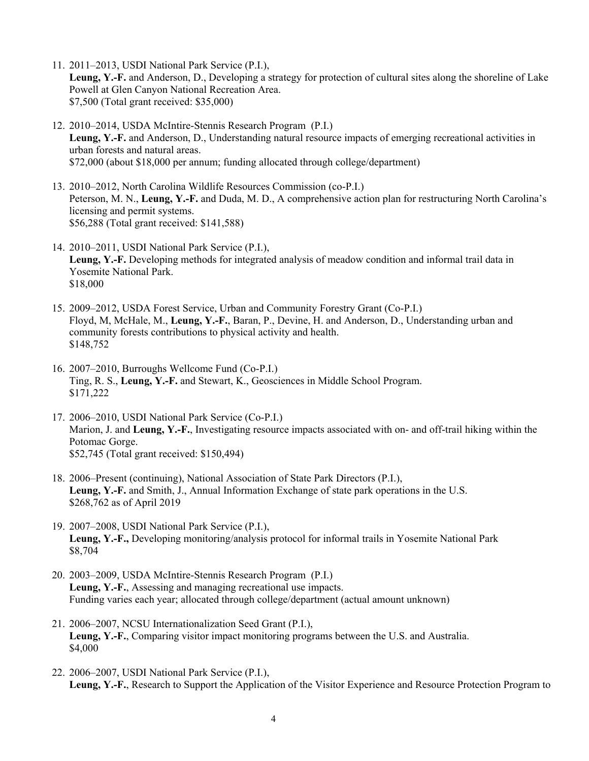11. 2011–2013, USDI National Park Service (P.I.),

**Leung, Y.-F.** and Anderson, D., Developing a strategy for protection of cultural sites along the shoreline of Lake Powell at Glen Canyon National Recreation Area. \$7,500 (Total grant received: \$35,000)

- 12. 2010–2014, USDA McIntire-Stennis Research Program (P.I.) **Leung, Y.-F.** and Anderson, D., Understanding natural resource impacts of emerging recreational activities in urban forests and natural areas. \$72,000 (about \$18,000 per annum; funding allocated through college/department)
- 13. 2010–2012, North Carolina Wildlife Resources Commission (co-P.I.) Peterson, M. N., **Leung, Y.-F.** and Duda, M. D., A comprehensive action plan for restructuring North Carolina's licensing and permit systems. \$56,288 (Total grant received: \$141,588)
- 14. 2010–2011, USDI National Park Service (P.I.), **Leung, Y.-F.** Developing methods for integrated analysis of meadow condition and informal trail data in Yosemite National Park. \$18,000
- 15. 2009–2012, USDA Forest Service, Urban and Community Forestry Grant (Co-P.I.) Floyd, M, McHale, M., **Leung, Y.-F.**, Baran, P., Devine, H. and Anderson, D., Understanding urban and community forests contributions to physical activity and health. \$148,752
- 16. 2007–2010, Burroughs Wellcome Fund (Co-P.I.) Ting, R. S., **Leung, Y.-F.** and Stewart, K., Geosciences in Middle School Program. \$171,222
- 17. 2006–2010, USDI National Park Service (Co-P.I.) Marion, J. and **Leung, Y.-F.**, Investigating resource impacts associated with on- and off-trail hiking within the Potomac Gorge. \$52,745 (Total grant received: \$150,494)
- 18. 2006–Present (continuing), National Association of State Park Directors (P.I.), **Leung, Y.-F.** and Smith, J., Annual Information Exchange of state park operations in the U.S. \$268,762 as of April 2019
- 19. 2007–2008, USDI National Park Service (P.I.), **Leung, Y.-F.,** Developing monitoring/analysis protocol for informal trails in Yosemite National Park \$8,704
- 20. 2003–2009, USDA McIntire-Stennis Research Program (P.I.) **Leung, Y.-F.**, Assessing and managing recreational use impacts. Funding varies each year; allocated through college/department (actual amount unknown)
- 21. 2006–2007, NCSU Internationalization Seed Grant (P.I.), **Leung, Y.-F.**, Comparing visitor impact monitoring programs between the U.S. and Australia. \$4,000
- 22. 2006–2007, USDI National Park Service (P.I.), **Leung, Y.-F.**, Research to Support the Application of the Visitor Experience and Resource Protection Program to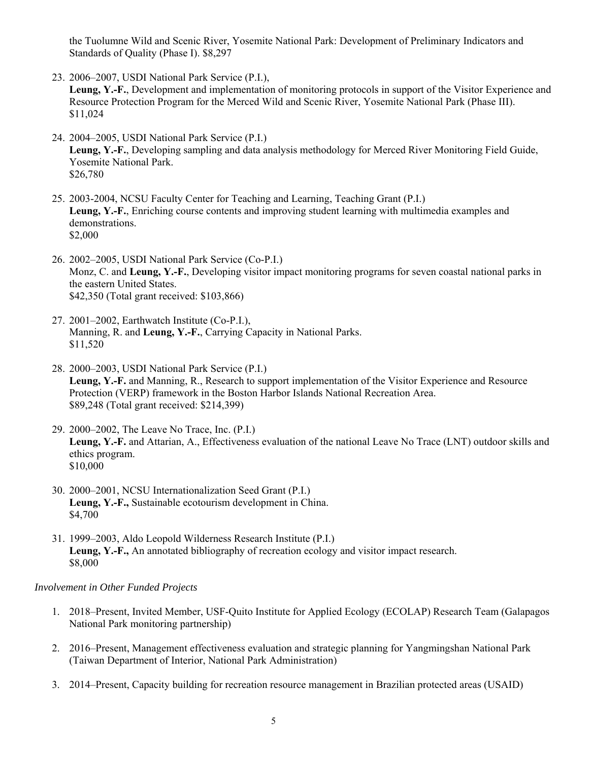the Tuolumne Wild and Scenic River, Yosemite National Park: Development of Preliminary Indicators and Standards of Quality (Phase I). \$8,297

23. 2006–2007, USDI National Park Service (P.I.),

**Leung, Y.-F.**, Development and implementation of monitoring protocols in support of the Visitor Experience and Resource Protection Program for the Merced Wild and Scenic River, Yosemite National Park (Phase III). \$11,024

- 24. 2004–2005, USDI National Park Service (P.I.) **Leung, Y.-F.**, Developing sampling and data analysis methodology for Merced River Monitoring Field Guide, Yosemite National Park. \$26,780
- 25. 2003-2004, NCSU Faculty Center for Teaching and Learning, Teaching Grant (P.I.) **Leung, Y.-F.**, Enriching course contents and improving student learning with multimedia examples and demonstrations. \$2,000
- 26. 2002–2005, USDI National Park Service (Co-P.I.) Monz, C. and **Leung, Y.-F.**, Developing visitor impact monitoring programs for seven coastal national parks in the eastern United States. \$42,350 (Total grant received: \$103,866)
- 27. 2001–2002, Earthwatch Institute (Co-P.I.), Manning, R. and **Leung, Y.-F.**, Carrying Capacity in National Parks. \$11,520
- 28. 2000–2003, USDI National Park Service (P.I.) **Leung, Y.-F.** and Manning, R., Research to support implementation of the Visitor Experience and Resource Protection (VERP) framework in the Boston Harbor Islands National Recreation Area. \$89,248 (Total grant received: \$214,399)
- 29. 2000–2002, The Leave No Trace, Inc. (P.I.) **Leung, Y.-F.** and Attarian, A., Effectiveness evaluation of the national Leave No Trace (LNT) outdoor skills and ethics program. \$10,000
- 30. 2000–2001, NCSU Internationalization Seed Grant (P.I.) **Leung, Y.-F.,** Sustainable ecotourism development in China. \$4,700
- 31. 1999–2003, Aldo Leopold Wilderness Research Institute (P.I.) **Leung, Y.-F.,** An annotated bibliography of recreation ecology and visitor impact research. \$8,000

## *Involvement in Other Funded Projects*

- 1. 2018–Present, Invited Member, USF-Quito Institute for Applied Ecology (ECOLAP) Research Team (Galapagos National Park monitoring partnership)
- 2. 2016–Present, Management effectiveness evaluation and strategic planning for Yangmingshan National Park (Taiwan Department of Interior, National Park Administration)
- 3. 2014–Present, Capacity building for recreation resource management in Brazilian protected areas (USAID)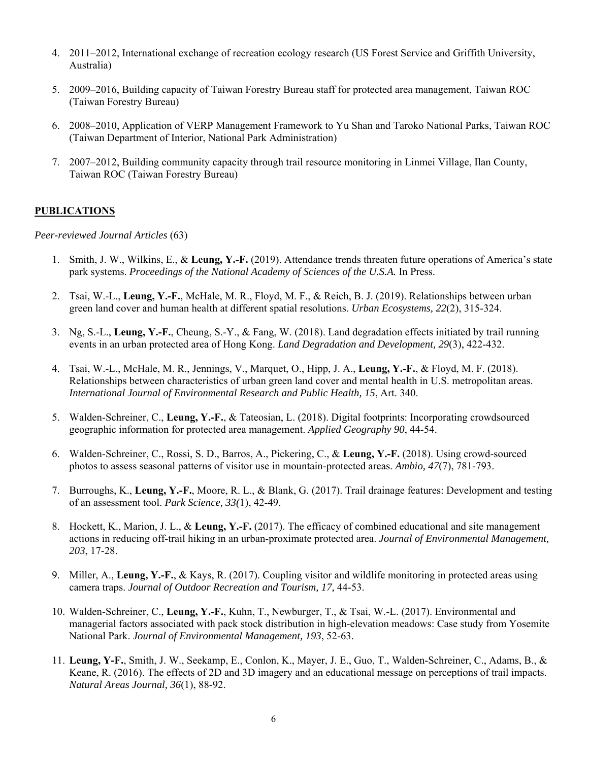- 4. 2011–2012, International exchange of recreation ecology research (US Forest Service and Griffith University, Australia)
- 5. 2009–2016, Building capacity of Taiwan Forestry Bureau staff for protected area management, Taiwan ROC (Taiwan Forestry Bureau)
- 6. 2008–2010, Application of VERP Management Framework to Yu Shan and Taroko National Parks, Taiwan ROC (Taiwan Department of Interior, National Park Administration)
- 7. 2007–2012, Building community capacity through trail resource monitoring in Linmei Village, Ilan County, Taiwan ROC (Taiwan Forestry Bureau)

## **PUBLICATIONS**

*Peer-reviewed Journal Articles* (63)

- 1. Smith, J. W., Wilkins, E., & **Leung, Y.-F.** (2019). Attendance trends threaten future operations of America's state park systems. *Proceedings of the National Academy of Sciences of the U.S.A.* In Press.
- 2. Tsai, W.-L., **Leung, Y.-F.**, McHale, M. R., Floyd, M. F., & Reich, B. J. (2019). Relationships between urban green land cover and human health at different spatial resolutions. *Urban Ecosystems, 22*(2), 315-324.
- 3. Ng, S.-L., **Leung, Y.-F.**, Cheung, S.-Y., & Fang, W. (2018). Land degradation effects initiated by trail running events in an urban protected area of Hong Kong. *Land Degradation and Development, 29*(3), 422-432.
- 4. Tsai, W.-L., McHale, M. R., Jennings, V., Marquet, O., Hipp, J. A., **Leung, Y.-F.**, & Floyd, M. F. (2018). Relationships between characteristics of urban green land cover and mental health in U.S. metropolitan areas. *International Journal of Environmental Research and Public Health, 15*, Art. 340.
- 5. Walden-Schreiner, C., **Leung, Y.-F.**, & Tateosian, L. (2018). Digital footprints: Incorporating crowdsourced geographic information for protected area management. *Applied Geography 90*, 44-54.
- 6. Walden-Schreiner, C., Rossi, S. D., Barros, A., Pickering, C., & **Leung, Y.-F.** (2018). Using crowd-sourced photos to assess seasonal patterns of visitor use in mountain-protected areas. *Ambio, 47*(7), 781-793.
- 7. Burroughs, K., **Leung, Y.-F.**, Moore, R. L., & Blank, G. (2017). Trail drainage features: Development and testing of an assessment tool. *Park Science, 33(*1), 42-49.
- 8. Hockett, K., Marion, J. L., & **Leung, Y.-F.** (2017). The efficacy of combined educational and site management actions in reducing off-trail hiking in an urban-proximate protected area. *Journal of Environmental Management, 203*, 17-28.
- 9. Miller, A., **Leung, Y.-F.**, & Kays, R. (2017). Coupling visitor and wildlife monitoring in protected areas using camera traps. *Journal of Outdoor Recreation and Tourism, 17,* 44-53.
- 10. Walden-Schreiner, C., **Leung, Y.-F.**, Kuhn, T., Newburger, T., & Tsai, W.-L. (2017). Environmental and managerial factors associated with pack stock distribution in high-elevation meadows: Case study from Yosemite National Park. *Journal of Environmental Management, 193*, 52-63.
- 11. **Leung, Y-F.**, Smith, J. W., Seekamp, E., Conlon, K., Mayer, J. E., Guo, T., Walden-Schreiner, C., Adams, B., & Keane, R. (2016). The effects of 2D and 3D imagery and an educational message on perceptions of trail impacts. *Natural Areas Journal, 36*(1), 88-92.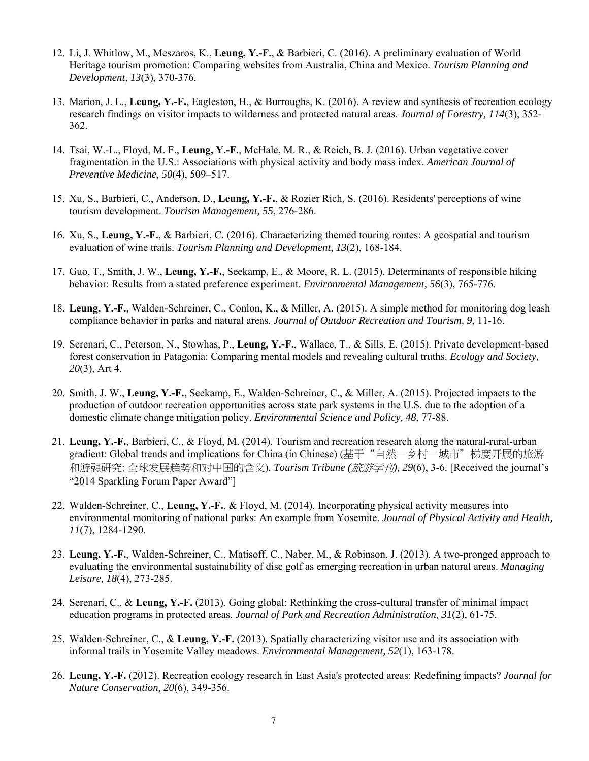- 12. Li, J. Whitlow, M., Meszaros, K., **Leung, Y.-F.**, & Barbieri, C. (2016). A preliminary evaluation of World Heritage tourism promotion: Comparing websites from Australia, China and Mexico. *Tourism Planning and Development, 13*(3), 370-376.
- 13. Marion, J. L., **Leung, Y.-F.**, Eagleston, H., & Burroughs, K. (2016). A review and synthesis of recreation ecology research findings on visitor impacts to wilderness and protected natural areas. *Journal of Forestry, 114*(3), 352- 362.
- 14. Tsai, W.-L., Floyd, M. F., **Leung, Y.-F.**, McHale, M. R., & Reich, B. J. (2016). Urban vegetative cover fragmentation in the U.S.: Associations with physical activity and body mass index. *American Journal of Preventive Medicine, 50*(4), 509–517.
- 15. Xu, S., Barbieri, C., Anderson, D., **Leung, Y.-F.**, & Rozier Rich, S. (2016). Residents' perceptions of wine tourism development. *Tourism Management, 55*, 276-286.
- 16. Xu, S., **Leung, Y.-F.**, & Barbieri, C. (2016). Characterizing themed touring routes: A geospatial and tourism evaluation of wine trails. *Tourism Planning and Development, 13*(2), 168-184.
- 17. Guo, T., Smith, J. W., **Leung, Y.-F.**, Seekamp, E., & Moore, R. L. (2015). Determinants of responsible hiking behavior: Results from a stated preference experiment. *Environmental Management, 56*(3), 765-776.
- 18. **Leung, Y.-F.**, Walden-Schreiner, C., Conlon, K., & Miller, A. (2015). A simple method for monitoring dog leash compliance behavior in parks and natural areas. *Journal of Outdoor Recreation and Tourism, 9*, 11-16.
- 19. Serenari, C., Peterson, N., Stowhas, P., **Leung, Y.-F.**, Wallace, T., & Sills, E. (2015). Private development-based forest conservation in Patagonia: Comparing mental models and revealing cultural truths. *Ecology and Society, 20*(3), Art 4.
- 20. Smith, J. W., **Leung, Y.-F.**, Seekamp, E., Walden-Schreiner, C., & Miller, A. (2015). Projected impacts to the production of outdoor recreation opportunities across state park systems in the U.S. due to the adoption of a domestic climate change mitigation policy. *Environmental Science and Policy, 48*, 77-88.
- 21. **Leung, Y.-F.**, Barbieri, C., & Floyd, M. (2014). Tourism and recreation research along the natural-rural-urban gradient: Global trends and implications for China (in Chinese) (基于"自然一乡村一城市"梯度开展的旅游 和游憩研究: 全球发展趋势和对中国的含义). *Tourism Tribune (*旅游学刊*), 29*(6), 3-6. [Received the journal's "2014 Sparkling Forum Paper Award"]
- 22. Walden-Schreiner, C., **Leung, Y.-F.**, & Floyd, M. (2014). Incorporating physical activity measures into environmental monitoring of national parks: An example from Yosemite. *Journal of Physical Activity and Health, 11*(7), 1284-1290.
- 23. **Leung, Y.-F.**, Walden-Schreiner, C., Matisoff, C., Naber, M., & Robinson, J. (2013). A two-pronged approach to evaluating the environmental sustainability of disc golf as emerging recreation in urban natural areas. *Managing Leisure, 18*(4), 273-285.
- 24. Serenari, C., & **Leung, Y.-F.** (2013). Going global: Rethinking the cross-cultural transfer of minimal impact education programs in protected areas. *Journal of Park and Recreation Administration, 31*(2), 61-75.
- 25. Walden-Schreiner, C., & **Leung, Y.-F.** (2013). Spatially characterizing visitor use and its association with informal trails in Yosemite Valley meadows. *Environmental Management, 52*(1), 163-178.
- 26. **Leung, Y.-F.** (2012). Recreation ecology research in East Asia's protected areas: Redefining impacts? *Journal for Nature Conservation, 20*(6), 349-356.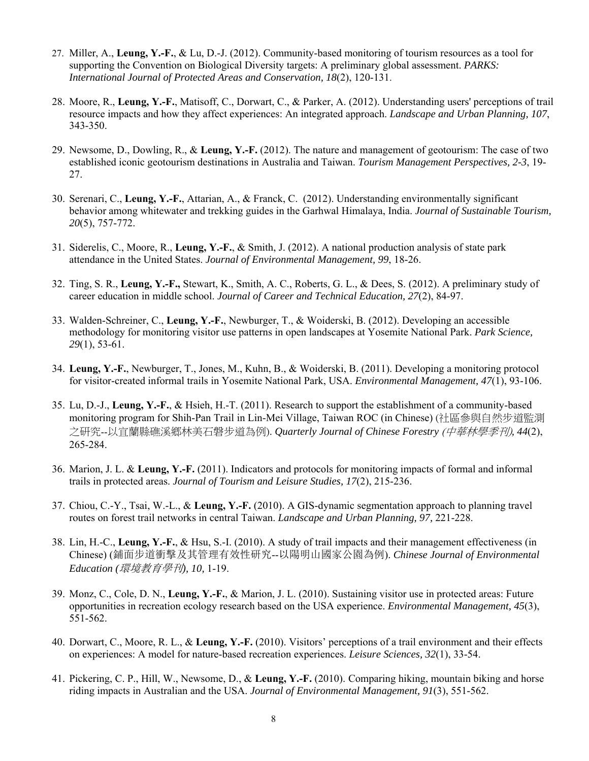- 27. Miller, A., **Leung, Y.-F.**, & Lu, D.-J. (2012). Community-based monitoring of tourism resources as a tool for supporting the Convention on Biological Diversity targets: A preliminary global assessment. *PARKS: International Journal of Protected Areas and Conservation, 18*(2), 120-131.
- 28. Moore, R., **Leung, Y.-F.**, Matisoff, C., Dorwart, C., & Parker, A. (2012). Understanding users' perceptions of trail resource impacts and how they affect experiences: An integrated approach. *Landscape and Urban Planning, 107*, 343-350.
- 29. Newsome, D., Dowling, R., & **Leung, Y.-F.** (2012). The nature and management of geotourism: The case of two established iconic geotourism destinations in Australia and Taiwan. *Tourism Management Perspectives, 2-3*, 19- 27.
- 30. Serenari, C., **Leung, Y.-F.**, Attarian, A., & Franck, C. (2012). Understanding environmentally significant behavior among whitewater and trekking guides in the Garhwal Himalaya, India. *Journal of Sustainable Tourism, 20*(5), 757-772.
- 31. Siderelis, C., Moore, R., **Leung, Y.-F.**, & Smith, J. (2012). A national production analysis of state park attendance in the United States. *Journal of Environmental Management, 99*, 18-26.
- 32. Ting, S. R., **Leung, Y.-F.,** Stewart, K., Smith, A. C., Roberts, G. L., & Dees, S. (2012). A preliminary study of career education in middle school. *Journal of Career and Technical Education, 27*(2), 84-97.
- 33. Walden-Schreiner, C., **Leung, Y.-F.**, Newburger, T., & Woiderski, B. (2012). Developing an accessible methodology for monitoring visitor use patterns in open landscapes at Yosemite National Park. *Park Science, 29*(1), 53-61.
- 34. **Leung, Y.-F.**, Newburger, T., Jones, M., Kuhn, B., & Woiderski, B. (2011). Developing a monitoring protocol for visitor-created informal trails in Yosemite National Park, USA. *Environmental Management, 47*(1), 93-106.
- 35. Lu, D.-J., **Leung, Y.-F.**, & Hsieh, H.-T. (2011). Research to support the establishment of a community-based monitoring program for Shih-Pan Trail in Lin-Mei Village, Taiwan ROC (in Chinese) (社區參與自然步道監測 之研究--以宜蘭縣礁溪鄉林美石磐步道為例). *Quarterly Journal of Chinese Forestry* (中華林學季刊)*, 44*(2), 265-284.
- 36. Marion, J. L. & **Leung, Y.-F.** (2011). Indicators and protocols for monitoring impacts of formal and informal trails in protected areas. *Journal of Tourism and Leisure Studies, 17*(2), 215-236.
- 37. Chiou, C.-Y., Tsai, W.-L., & **Leung, Y.-F.** (2010). A GIS-dynamic segmentation approach to planning travel routes on forest trail networks in central Taiwan. *Landscape and Urban Planning, 97,* 221-228.
- 38. Lin, H.-C., **Leung, Y.-F.**, & Hsu, S.-I. (2010). A study of trail impacts and their management effectiveness (in Chinese) (鋪面步道衝擊及其管理有效性研究--以陽明山國家公園為例). *Chinese Journal of Environmental Education (*環境教育學刊*), 10,* 1-19.
- 39. Monz, C., Cole, D. N., **Leung, Y.-F.**, & Marion, J. L. (2010). Sustaining visitor use in protected areas: Future opportunities in recreation ecology research based on the USA experience. *Environmental Management, 45*(3), 551-562.
- 40. Dorwart, C., Moore, R. L., & **Leung, Y.-F.** (2010). Visitors' perceptions of a trail environment and their effects on experiences: A model for nature-based recreation experiences. *Leisure Sciences, 32*(1), 33-54.
- 41. Pickering, C. P., Hill, W., Newsome, D., & **Leung, Y.-F.** (2010). Comparing hiking, mountain biking and horse riding impacts in Australian and the USA. *Journal of Environmental Management, 91*(3), 551-562.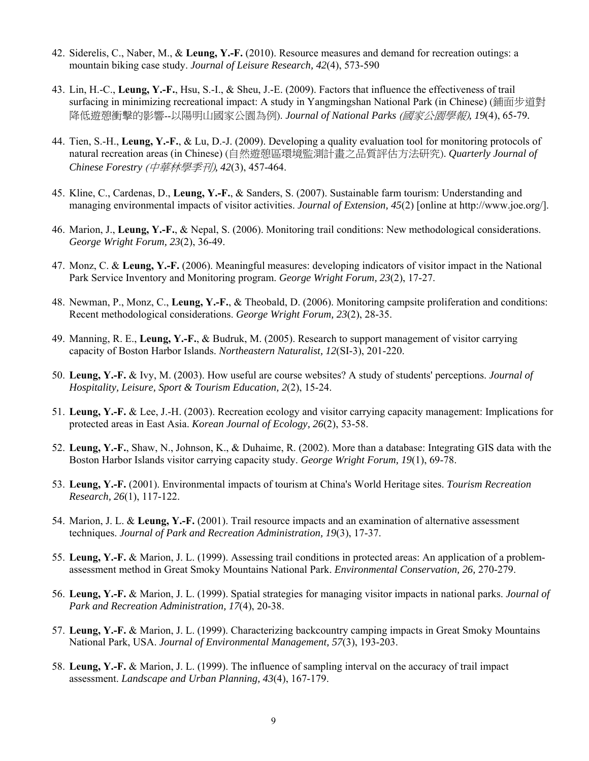- 42. Siderelis, C., Naber, M., & **Leung, Y.-F.** (2010). Resource measures and demand for recreation outings: a mountain biking case study. *Journal of Leisure Research, 42*(4), 573-590
- 43. Lin, H.-C., **Leung, Y.-F.**, Hsu, S.-I., & Sheu, J.-E. (2009). Factors that influence the effectiveness of trail surfacing in minimizing recreational impact: A study in Yangmingshan National Park (in Chinese) (鋪面步道對 降低遊憩衝擊的影響--以陽明山國家公園為例). *Journal of National Parks* (國家公園學報)*, 19*(4), 65-79*.*
- 44. Tien, S.-H., **Leung, Y.-F.**, & Lu, D.-J. (2009). Developing a quality evaluation tool for monitoring protocols of natural recreation areas (in Chinese) (自然遊憩區環境監測計畫之品質評估方法研究). *Quarterly Journal of Chinese Forestry* (中華林學季刊)*, 42*(3), 457-464.
- 45. Kline, C., Cardenas, D., **Leung, Y.-F.**, & Sanders, S. (2007). Sustainable farm tourism: Understanding and managing environmental impacts of visitor activities. *Journal of Extension, 45*(2) [online at http://www.joe.org/].
- 46. Marion, J., **Leung, Y.-F.**, & Nepal, S. (2006). Monitoring trail conditions: New methodological considerations. *George Wright Forum, 23*(2), 36-49.
- 47. Monz, C. & **Leung, Y.-F.** (2006). Meaningful measures: developing indicators of visitor impact in the National Park Service Inventory and Monitoring program. *George Wright Forum, 23*(2), 17-27.
- 48. Newman, P., Monz, C., **Leung, Y.-F.**, & Theobald, D. (2006). Monitoring campsite proliferation and conditions: Recent methodological considerations. *George Wright Forum, 23*(2), 28-35.
- 49. Manning, R. E., **Leung, Y.-F.**, & Budruk, M. (2005). Research to support management of visitor carrying capacity of Boston Harbor Islands. *Northeastern Naturalist, 12*(SI-3), 201-220.
- 50. **Leung, Y.-F.** & Ivy, M. (2003). How useful are course websites? A study of students' perceptions. *Journal of Hospitality, Leisure, Sport & Tourism Education, 2*(2), 15-24.
- 51. **Leung, Y.-F.** & Lee, J.-H. (2003). Recreation ecology and visitor carrying capacity management: Implications for protected areas in East Asia. *Korean Journal of Ecology, 26*(2), 53-58.
- 52. **Leung, Y.-F.**, Shaw, N., Johnson, K., & Duhaime, R. (2002). More than a database: Integrating GIS data with the Boston Harbor Islands visitor carrying capacity study. *George Wright Forum, 19*(1), 69-78.
- 53. **Leung, Y.-F.** (2001). Environmental impacts of tourism at China's World Heritage sites. *Tourism Recreation Research, 26*(1), 117-122.
- 54. Marion, J. L. & **Leung, Y.-F.** (2001). Trail resource impacts and an examination of alternative assessment techniques. *Journal of Park and Recreation Administration, 19*(3), 17-37.
- 55. **Leung, Y.-F.** & Marion, J. L. (1999). Assessing trail conditions in protected areas: An application of a problemassessment method in Great Smoky Mountains National Park. *Environmental Conservation, 26,* 270-279.
- 56. **Leung, Y.-F.** & Marion, J. L. (1999). Spatial strategies for managing visitor impacts in national parks. *Journal of Park and Recreation Administration, 17*(4), 20-38.
- 57. **Leung, Y.-F.** & Marion, J. L. (1999). Characterizing backcountry camping impacts in Great Smoky Mountains National Park, USA. *Journal of Environmental Management, 57*(3), 193-203.
- 58. **Leung, Y.-F.** & Marion, J. L. (1999). The influence of sampling interval on the accuracy of trail impact assessment. *Landscape and Urban Planning, 43*(4), 167-179.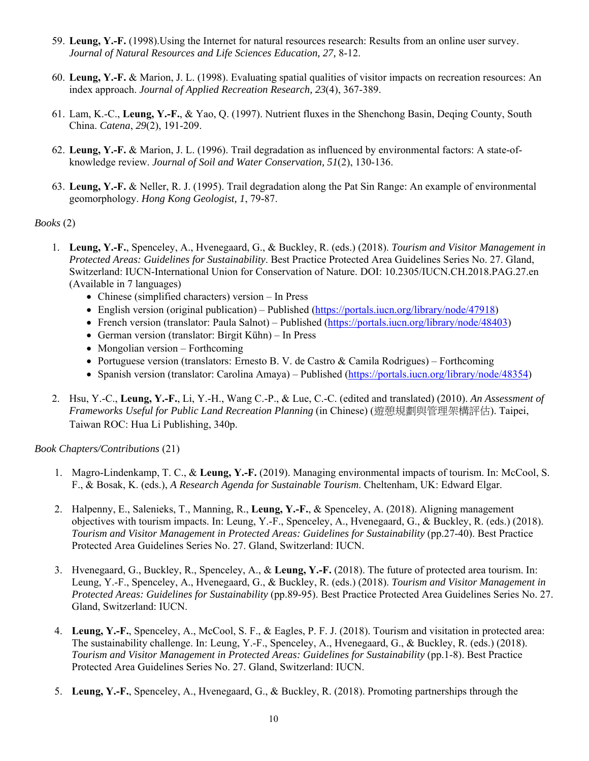- 59. **Leung, Y.-F.** (1998).Using the Internet for natural resources research: Results from an online user survey. *Journal of Natural Resources and Life Sciences Education, 27,* 8-12.
- 60. **Leung, Y.-F.** & Marion, J. L. (1998). Evaluating spatial qualities of visitor impacts on recreation resources: An index approach. *Journal of Applied Recreation Research, 23*(4), 367-389.
- 61. Lam, K.-C., **Leung, Y.-F.**, & Yao, Q. (1997). Nutrient fluxes in the Shenchong Basin, Deqing County, South China. *Catena*, *29*(2), 191-209.
- 62. **Leung, Y.-F.** & Marion, J. L. (1996). Trail degradation as influenced by environmental factors: A state-ofknowledge review. *Journal of Soil and Water Conservation, 51*(2), 130-136.
- 63. **Leung, Y.-F.** & Neller, R. J. (1995). Trail degradation along the Pat Sin Range: An example of environmental geomorphology. *Hong Kong Geologist, 1*, 79-87.

## *Books* (2)

- 1. **Leung, Y.-F.**, Spenceley, A., Hvenegaard, G., & Buckley, R. (eds.) (2018). *Tourism and Visitor Management in Protected Areas: Guidelines for Sustainability*. Best Practice Protected Area Guidelines Series No. 27. Gland, Switzerland: IUCN-International Union for Conservation of Nature. DOI: 10.2305/IUCN.CH.2018.PAG.27.en (Available in 7 languages)
	- Chinese (simplified characters) version In Press
	- English version (original publication) Published (https://portals.iucn.org/library/node/47918)
	- French version (translator: Paula Salnot) Published (https://portals.iucn.org/library/node/48403)
	- German version (translator: Birgit Kühn) In Press
	- Mongolian version Forthcoming
	- Portuguese version (translators: Ernesto B. V. de Castro & Camila Rodrigues) Forthcoming
	- Spanish version (translator: Carolina Amaya) Published (https://portals.iucn.org/library/node/48354)
- 2. Hsu, Y.-C., **Leung, Y.-F.**, Li, Y.-H., Wang C.-P., & Lue, C.-C. (edited and translated) (2010). *An Assessment of Frameworks Useful for Public Land Recreation Planning* (in Chinese) (遊憩規劃與管理架構評估). Taipei, Taiwan ROC: Hua Li Publishing, 340p.

*Book Chapters/Contributions* (21)

- 1. Magro-Lindenkamp, T. C., & **Leung, Y.-F.** (2019). Managing environmental impacts of tourism. In: McCool, S. F., & Bosak, K. (eds.), *A Research Agenda for Sustainable Tourism*. Cheltenham, UK: Edward Elgar.
- 2. Halpenny, E., Salenieks, T., Manning, R., **Leung, Y.-F.**, & Spenceley, A. (2018). Aligning management objectives with tourism impacts. In: Leung, Y.-F., Spenceley, A., Hvenegaard, G., & Buckley, R. (eds.) (2018). *Tourism and Visitor Management in Protected Areas: Guidelines for Sustainability* (pp.27-40). Best Practice Protected Area Guidelines Series No. 27. Gland, Switzerland: IUCN.
- 3. Hvenegaard, G., Buckley, R., Spenceley, A., & **Leung, Y.-F.** (2018). The future of protected area tourism. In: Leung, Y.-F., Spenceley, A., Hvenegaard, G., & Buckley, R. (eds.) (2018). *Tourism and Visitor Management in Protected Areas: Guidelines for Sustainability* (pp.89-95). Best Practice Protected Area Guidelines Series No. 27. Gland, Switzerland: IUCN.
- 4. **Leung, Y.-F.**, Spenceley, A., McCool, S. F., & Eagles, P. F. J. (2018). Tourism and visitation in protected area: The sustainability challenge. In: Leung, Y.-F., Spenceley, A., Hvenegaard, G., & Buckley, R. (eds.) (2018). *Tourism and Visitor Management in Protected Areas: Guidelines for Sustainability* (pp.1-8). Best Practice Protected Area Guidelines Series No. 27. Gland, Switzerland: IUCN.
- 5. **Leung, Y.-F.**, Spenceley, A., Hvenegaard, G., & Buckley, R. (2018). Promoting partnerships through the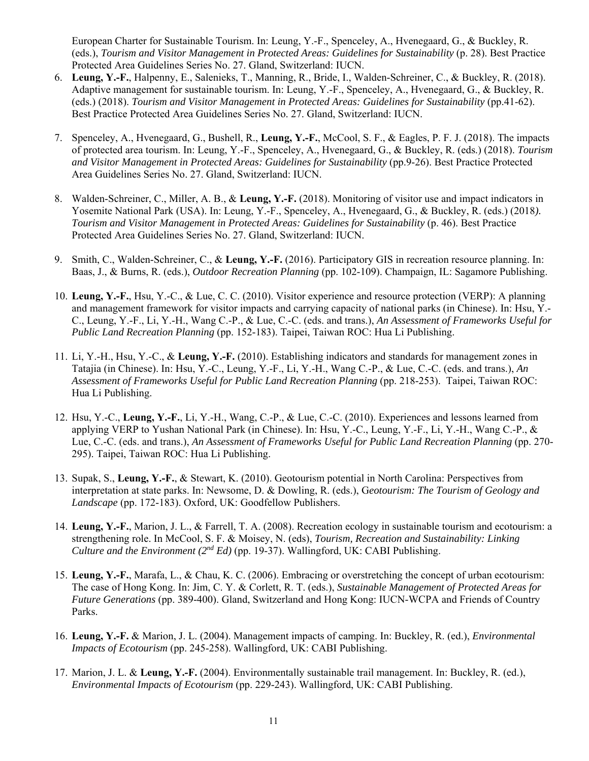European Charter for Sustainable Tourism. In: Leung, Y.-F., Spenceley, A., Hvenegaard, G., & Buckley, R. (eds.), *Tourism and Visitor Management in Protected Areas: Guidelines for Sustainability* (p. 28). Best Practice Protected Area Guidelines Series No. 27. Gland, Switzerland: IUCN.

- 6. **Leung, Y.-F.**, Halpenny, E., Salenieks, T., Manning, R., Bride, I., Walden-Schreiner, C., & Buckley, R. (2018). Adaptive management for sustainable tourism. In: Leung, Y.-F., Spenceley, A., Hvenegaard, G., & Buckley, R. (eds.) (2018). *Tourism and Visitor Management in Protected Areas: Guidelines for Sustainability* (pp.41-62). Best Practice Protected Area Guidelines Series No. 27. Gland, Switzerland: IUCN.
- 7. Spenceley, A., Hvenegaard, G., Bushell, R., **Leung, Y.-F.**, McCool, S. F., & Eagles, P. F. J. (2018). The impacts of protected area tourism. In: Leung, Y.-F., Spenceley, A., Hvenegaard, G., & Buckley, R. (eds.) (2018). *Tourism and Visitor Management in Protected Areas: Guidelines for Sustainability* (pp.9-26). Best Practice Protected Area Guidelines Series No. 27. Gland, Switzerland: IUCN.
- 8. Walden-Schreiner, C., Miller, A. B., & **Leung, Y.-F.** (2018). Monitoring of visitor use and impact indicators in Yosemite National Park (USA). In: Leung, Y.-F., Spenceley, A., Hvenegaard, G., & Buckley, R. (eds.) (2018). *Tourism and Visitor Management in Protected Areas: Guidelines for Sustainability* (p. 46). Best Practice Protected Area Guidelines Series No. 27. Gland, Switzerland: IUCN.
- 9. Smith, C., Walden-Schreiner, C., & **Leung, Y.-F.** (2016). Participatory GIS in recreation resource planning. In: Baas, J., & Burns, R. (eds.), *Outdoor Recreation Planning* (pp. 102-109). Champaign, IL: Sagamore Publishing.
- 10. **Leung, Y.-F.**, Hsu, Y.-C., & Lue, C. C. (2010). Visitor experience and resource protection (VERP): A planning and management framework for visitor impacts and carrying capacity of national parks (in Chinese). In: Hsu, Y.- C., Leung, Y.-F., Li, Y.-H., Wang C.-P., & Lue, C.-C. (eds. and trans.), *An Assessment of Frameworks Useful for Public Land Recreation Planning* (pp. 152-183). Taipei, Taiwan ROC: Hua Li Publishing.
- 11. Li, Y.-H., Hsu, Y.-C., & **Leung, Y.-F.** (2010). Establishing indicators and standards for management zones in Tatajia (in Chinese). In: Hsu, Y.-C., Leung, Y.-F., Li, Y.-H., Wang C.-P., & Lue, C.-C. (eds. and trans.), *An Assessment of Frameworks Useful for Public Land Recreation Planning* (pp. 218-253). Taipei, Taiwan ROC: Hua Li Publishing.
- 12. Hsu, Y.-C., **Leung, Y.-F.**, Li, Y.-H., Wang, C.-P., & Lue, C.-C. (2010). Experiences and lessons learned from applying VERP to Yushan National Park (in Chinese). In: Hsu, Y.-C., Leung, Y.-F., Li, Y.-H., Wang C.-P., & Lue, C.-C. (eds. and trans.), *An Assessment of Frameworks Useful for Public Land Recreation Planning* (pp. 270-295). Taipei, Taiwan ROC: Hua Li Publishing.
- 13. Supak, S., **Leung, Y.-F.**, & Stewart, K. (2010). Geotourism potential in North Carolina: Perspectives from interpretation at state parks. In: Newsome, D. & Dowling, R. (eds.), G*eotourism: The Tourism of Geology and Landscape* (pp. 172-183). Oxford, UK: Goodfellow Publishers.
- 14. **Leung, Y.-F.**, Marion, J. L., & Farrell, T. A. (2008). Recreation ecology in sustainable tourism and ecotourism: a strengthening role. In McCool, S. F. & Moisey, N. (eds), *Tourism, Recreation and Sustainability: Linking Culture and the Environment (2nd Ed)* (pp. 19-37). Wallingford, UK: CABI Publishing.
- 15. **Leung, Y.-F.**, Marafa, L., & Chau, K. C. (2006). Embracing or overstretching the concept of urban ecotourism: The case of Hong Kong. In: Jim, C. Y. & Corlett, R. T. (eds.), *Sustainable Management of Protected Areas for Future Generations* (pp. 389-400). Gland, Switzerland and Hong Kong: IUCN-WCPA and Friends of Country Parks.
- 16. **Leung, Y.-F.** & Marion, J. L. (2004). Management impacts of camping. In: Buckley, R. (ed.), *Environmental Impacts of Ecotourism* (pp. 245-258). Wallingford, UK: CABI Publishing.
- 17. Marion, J. L. & **Leung, Y.-F.** (2004). Environmentally sustainable trail management. In: Buckley, R. (ed.), *Environmental Impacts of Ecotourism* (pp. 229-243). Wallingford, UK: CABI Publishing.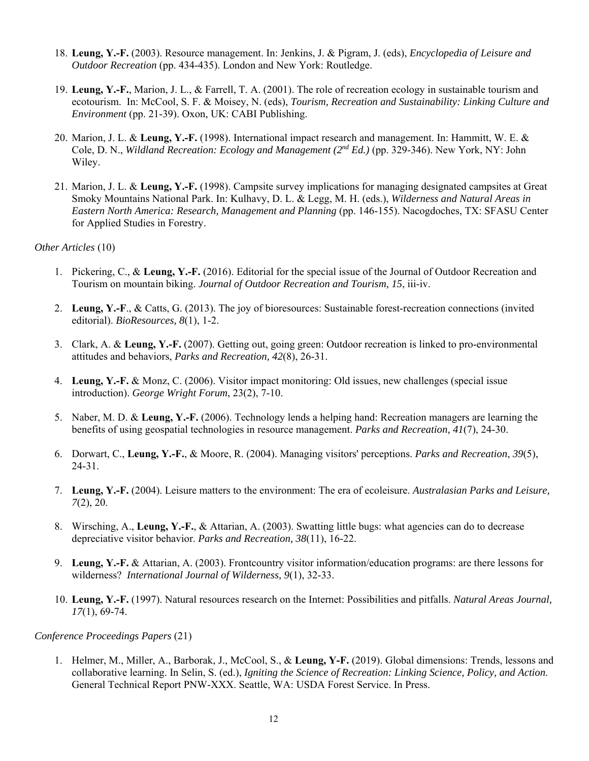- 18. **Leung, Y.-F.** (2003). Resource management. In: Jenkins, J. & Pigram, J. (eds), *Encyclopedia of Leisure and Outdoor Recreation* (pp. 434-435). London and New York: Routledge.
- 19. **Leung, Y.-F.**, Marion, J. L., & Farrell, T. A. (2001). The role of recreation ecology in sustainable tourism and ecotourism. In: McCool, S. F. & Moisey, N. (eds), *Tourism, Recreation and Sustainability: Linking Culture and Environment* (pp. 21-39). Oxon, UK: CABI Publishing.
- 20. Marion, J. L. & **Leung, Y.-F.** (1998). International impact research and management. In: Hammitt, W. E. & Cole, D. N., *Wildland Recreation: Ecology and Management (2nd Ed.)* (pp. 329-346). New York, NY: John Wiley.
- 21. Marion, J. L. & **Leung, Y.-F.** (1998). Campsite survey implications for managing designated campsites at Great Smoky Mountains National Park. In: Kulhavy, D. L. & Legg, M. H. (eds.), *Wilderness and Natural Areas in Eastern North America: Research, Management and Planning* (pp. 146-155). Nacogdoches, TX: SFASU Center for Applied Studies in Forestry.

#### *Other Articles* (10)

- 1. Pickering, C., & **Leung, Y.-F.** (2016). Editorial for the special issue of the Journal of Outdoor Recreation and Tourism on mountain biking. *Journal of Outdoor Recreation and Tourism, 15*, iii-iv.
- 2. **Leung, Y.-F**., & Catts, G. (2013). The joy of bioresources: Sustainable forest-recreation connections (invited editorial). *BioResources, 8*(1), 1-2.
- 3. Clark, A. & **Leung, Y.-F.** (2007). Getting out, going green: Outdoor recreation is linked to pro-environmental attitudes and behaviors, *Parks and Recreation, 42*(8), 26-31.
- 4. **Leung, Y.-F.** & Monz, C. (2006). Visitor impact monitoring: Old issues, new challenges (special issue introduction). *George Wright Forum*, 23(2), 7-10.
- 5. Naber, M. D. & **Leung, Y.-F.** (2006). Technology lends a helping hand: Recreation managers are learning the benefits of using geospatial technologies in resource management. *Parks and Recreation, 41*(7), 24-30.
- 6. Dorwart, C., **Leung, Y.-F.**, & Moore, R. (2004). Managing visitors' perceptions. *Parks and Recreation*, *39*(5), 24-31.
- 7. **Leung, Y.-F.** (2004). Leisure matters to the environment: The era of ecoleisure. *Australasian Parks and Leisure, 7*(2), 20.
- 8. Wirsching, A., **Leung, Y.-F.**, & Attarian, A. (2003). Swatting little bugs: what agencies can do to decrease depreciative visitor behavior. *Parks and Recreation, 38*(11), 16-22.
- 9. **Leung, Y.-F.** & Attarian, A. (2003). Frontcountry visitor information/education programs: are there lessons for wilderness? *International Journal of Wilderness, 9*(1), 32-33.
- 10. **Leung, Y.-F.** (1997). Natural resources research on the Internet: Possibilities and pitfalls. *Natural Areas Journal, 17*(1), 69-74.

#### *Conference Proceedings Papers* (21)

1. Helmer, M., Miller, A., Barborak, J., McCool, S., & **Leung, Y-F.** (2019). Global dimensions: Trends, lessons and collaborative learning. In Selin, S. (ed.), *Igniting the Science of Recreation: Linking Science, Policy, and Action*. General Technical Report PNW-XXX. Seattle, WA: USDA Forest Service. In Press.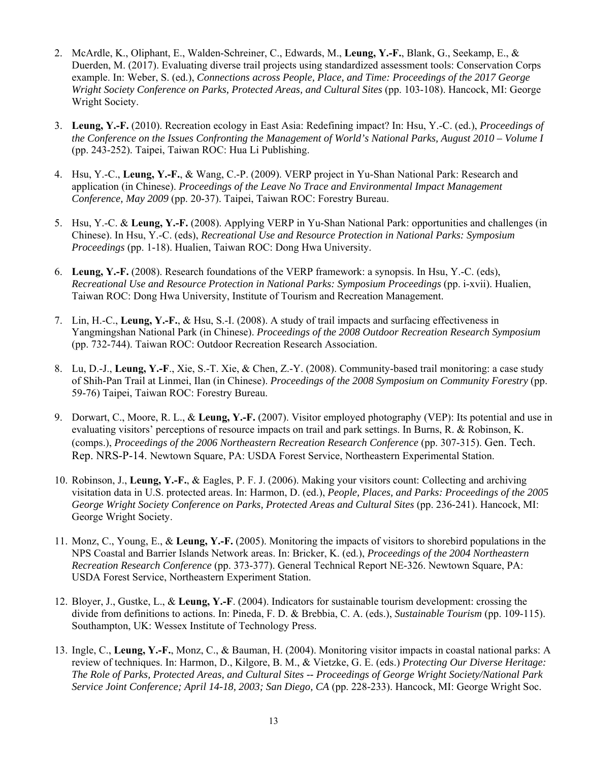- 2. McArdle, K., Oliphant, E., Walden-Schreiner, C., Edwards, M., **Leung, Y.-F.**, Blank, G., Seekamp, E., & Duerden, M. (2017). Evaluating diverse trail projects using standardized assessment tools: Conservation Corps example. In: Weber, S. (ed.), *Connections across People, Place, and Time: Proceedings of the 2017 George Wright Society Conference on Parks, Protected Areas, and Cultural Sites* (pp. 103-108). Hancock, MI: George Wright Society.
- 3. **Leung, Y.-F.** (2010). Recreation ecology in East Asia: Redefining impact? In: Hsu, Y.-C. (ed.), *Proceedings of the Conference on the Issues Confronting the Management of World's National Parks, August 2010 – Volume I* (pp. 243-252). Taipei, Taiwan ROC: Hua Li Publishing.
- 4. Hsu, Y.-C., **Leung, Y.-F.**, & Wang, C.-P. (2009). VERP project in Yu-Shan National Park: Research and application (in Chinese). *Proceedings of the Leave No Trace and Environmental Impact Management Conference, May 2009* (pp. 20-37). Taipei, Taiwan ROC: Forestry Bureau.
- 5. Hsu, Y.-C. & **Leung, Y.-F.** (2008). Applying VERP in Yu-Shan National Park: opportunities and challenges (in Chinese). In Hsu, Y.-C. (eds), *Recreational Use and Resource Protection in National Parks: Symposium Proceedings* (pp. 1-18). Hualien, Taiwan ROC: Dong Hwa University.
- 6. **Leung, Y.-F.** (2008). Research foundations of the VERP framework: a synopsis. In Hsu, Y.-C. (eds), *Recreational Use and Resource Protection in National Parks: Symposium Proceedings* (pp. i-xvii). Hualien, Taiwan ROC: Dong Hwa University, Institute of Tourism and Recreation Management.
- 7. Lin, H.-C., **Leung, Y.-F.**, & Hsu, S.-I. (2008). A study of trail impacts and surfacing effectiveness in Yangmingshan National Park (in Chinese). *Proceedings of the 2008 Outdoor Recreation Research Symposium* (pp. 732-744). Taiwan ROC: Outdoor Recreation Research Association.
- 8. Lu, D.-J., **Leung, Y.-F**., Xie, S.-T. Xie, & Chen, Z.-Y. (2008). Community-based trail monitoring: a case study of Shih-Pan Trail at Linmei, Ilan (in Chinese). *Proceedings of the 2008 Symposium on Community Forestry* (pp. 59-76) Taipei, Taiwan ROC: Forestry Bureau.
- 9. Dorwart, C., Moore, R. L., & **Leung, Y.-F.** (2007). Visitor employed photography (VEP): Its potential and use in evaluating visitors' perceptions of resource impacts on trail and park settings. In Burns, R. & Robinson, K. (comps.), *Proceedings of the 2006 Northeastern Recreation Research Conference* (pp. 307-315). Gen. Tech. Rep. NRS-P-14. Newtown Square, PA: USDA Forest Service, Northeastern Experimental Station.
- 10. Robinson, J., **Leung, Y.-F.**, & Eagles, P. F. J. (2006). Making your visitors count: Collecting and archiving visitation data in U.S. protected areas. In: Harmon, D. (ed.), *People, Places, and Parks: Proceedings of the 2005 George Wright Society Conference on Parks, Protected Areas and Cultural Sites* (pp. 236-241). Hancock, MI: George Wright Society.
- 11. Monz, C., Young, E., & **Leung, Y.-F.** (2005). Monitoring the impacts of visitors to shorebird populations in the NPS Coastal and Barrier Islands Network areas. In: Bricker, K. (ed.), *Proceedings of the 2004 Northeastern Recreation Research Conference* (pp. 373-377). General Technical Report NE-326. Newtown Square, PA: USDA Forest Service, Northeastern Experiment Station.
- 12. Bloyer, J., Gustke, L., & **Leung, Y.-F**. (2004). Indicators for sustainable tourism development: crossing the divide from definitions to actions. In: Pineda, F. D. & Brebbia, C. A. (eds.), *Sustainable Tourism* (pp. 109-115). Southampton, UK: Wessex Institute of Technology Press.
- 13. Ingle, C., **Leung, Y.-F.**, Monz, C., & Bauman, H. (2004). Monitoring visitor impacts in coastal national parks: A review of techniques. In: Harmon, D., Kilgore, B. M., & Vietzke, G. E. (eds.) *Protecting Our Diverse Heritage: The Role of Parks, Protected Areas, and Cultural Sites -- Proceedings of George Wright Society/National Park Service Joint Conference; April 14-18, 2003; San Diego, CA* (pp. 228-233). Hancock, MI: George Wright Soc.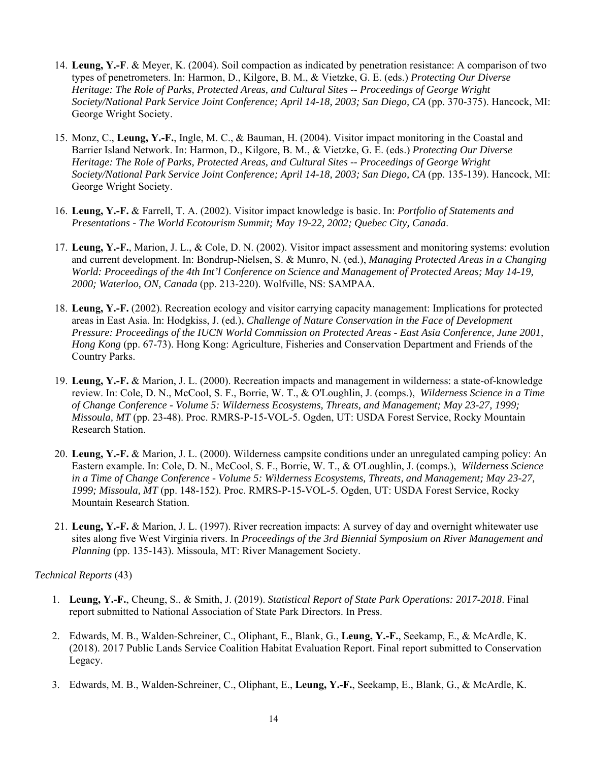- 14. **Leung, Y.-F**. & Meyer, K. (2004). Soil compaction as indicated by penetration resistance: A comparison of two types of penetrometers. In: Harmon, D., Kilgore, B. M., & Vietzke, G. E. (eds.) *Protecting Our Diverse Heritage: The Role of Parks, Protected Areas, and Cultural Sites -- Proceedings of George Wright Society/National Park Service Joint Conference; April 14-18, 2003; San Diego, CA* (pp. 370-375). Hancock, MI: George Wright Society.
- 15. Monz, C., **Leung, Y.-F.**, Ingle, M. C., & Bauman, H. (2004). Visitor impact monitoring in the Coastal and Barrier Island Network. In: Harmon, D., Kilgore, B. M., & Vietzke, G. E. (eds.) *Protecting Our Diverse Heritage: The Role of Parks, Protected Areas, and Cultural Sites -- Proceedings of George Wright Society/National Park Service Joint Conference; April 14-18, 2003; San Diego, CA* (pp. 135-139). Hancock, MI: George Wright Society.
- 16. **Leung, Y.-F.** & Farrell, T. A. (2002). Visitor impact knowledge is basic. In: *Portfolio of Statements and Presentations - The World Ecotourism Summit; May 19-22, 2002; Quebec City, Canada*.
- 17. **Leung, Y.-F.**, Marion, J. L., & Cole, D. N. (2002). Visitor impact assessment and monitoring systems: evolution and current development. In: Bondrup-Nielsen, S. & Munro, N. (ed.), *Managing Protected Areas in a Changing World: Proceedings of the 4th Int'l Conference on Science and Management of Protected Areas; May 14-19, 2000; Waterloo, ON, Canada* (pp. 213-220). Wolfville, NS: SAMPAA.
- 18. **Leung, Y.-F.** (2002). Recreation ecology and visitor carrying capacity management: Implications for protected areas in East Asia. In: Hodgkiss, J. (ed.), *Challenge of Nature Conservation in the Face of Development Pressure: Proceedings of the IUCN World Commission on Protected Areas - East Asia Conference, June 2001, Hong Kong* (pp. 67-73). Hong Kong: Agriculture, Fisheries and Conservation Department and Friends of the Country Parks.
- 19. **Leung, Y.-F.** & Marion, J. L. (2000). Recreation impacts and management in wilderness: a state-of-knowledge review. In: Cole, D. N., McCool, S. F., Borrie, W. T., & O'Loughlin, J. (comps.), *Wilderness Science in a Time of Change Conference - Volume 5: Wilderness Ecosystems, Threats, and Management; May 23-27, 1999; Missoula, MT* (pp. 23-48). Proc. RMRS-P-15-VOL-5. Ogden, UT: USDA Forest Service, Rocky Mountain Research Station.
- 20. **Leung, Y.-F.** & Marion, J. L. (2000). Wilderness campsite conditions under an unregulated camping policy: An Eastern example. In: Cole, D. N., McCool, S. F., Borrie, W. T., & O'Loughlin, J. (comps.), *Wilderness Science in a Time of Change Conference - Volume 5: Wilderness Ecosystems, Threats, and Management; May 23-27, 1999; Missoula, MT* (pp. 148-152). Proc. RMRS-P-15-VOL-5. Ogden, UT: USDA Forest Service, Rocky Mountain Research Station.
- 21. **Leung, Y.-F.** & Marion, J. L. (1997). River recreation impacts: A survey of day and overnight whitewater use sites along five West Virginia rivers. In *Proceedings of the 3rd Biennial Symposium on River Management and Planning* (pp. 135-143). Missoula, MT: River Management Society.

## *Technical Reports* (43)

- 1. **Leung, Y.-F.**, Cheung, S., & Smith, J. (2019). *Statistical Report of State Park Operations: 2017-2018*. Final report submitted to National Association of State Park Directors. In Press.
- 2. Edwards, M. B., Walden-Schreiner, C., Oliphant, E., Blank, G., **Leung, Y.-F.**, Seekamp, E., & McArdle, K. (2018). 2017 Public Lands Service Coalition Habitat Evaluation Report. Final report submitted to Conservation Legacy.
- 3. Edwards, M. B., Walden-Schreiner, C., Oliphant, E., **Leung, Y.-F.**, Seekamp, E., Blank, G., & McArdle, K.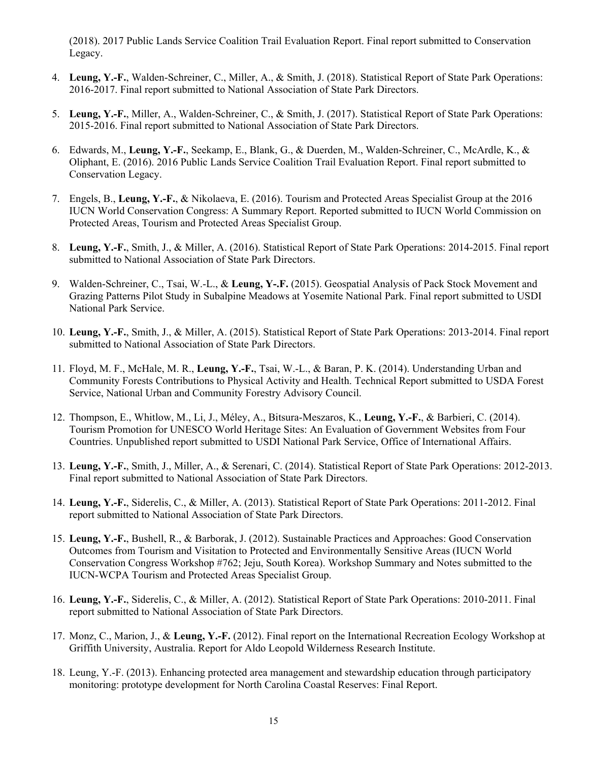(2018). 2017 Public Lands Service Coalition Trail Evaluation Report. Final report submitted to Conservation Legacy.

- 4. **Leung, Y.-F.**, Walden-Schreiner, C., Miller, A., & Smith, J. (2018). Statistical Report of State Park Operations: 2016-2017. Final report submitted to National Association of State Park Directors.
- 5. **Leung, Y.-F.**, Miller, A., Walden-Schreiner, C., & Smith, J. (2017). Statistical Report of State Park Operations: 2015-2016. Final report submitted to National Association of State Park Directors.
- 6. Edwards, M., **Leung, Y.-F.**, Seekamp, E., Blank, G., & Duerden, M., Walden-Schreiner, C., McArdle, K., & Oliphant, E. (2016). 2016 Public Lands Service Coalition Trail Evaluation Report. Final report submitted to Conservation Legacy.
- 7. Engels, B., **Leung, Y.-F.**, & Nikolaeva, E. (2016). Tourism and Protected Areas Specialist Group at the 2016 IUCN World Conservation Congress: A Summary Report. Reported submitted to IUCN World Commission on Protected Areas, Tourism and Protected Areas Specialist Group.
- 8. **Leung, Y.-F.**, Smith, J., & Miller, A. (2016). Statistical Report of State Park Operations: 2014-2015. Final report submitted to National Association of State Park Directors.
- 9. Walden-Schreiner, C., Tsai, W.-L., & **Leung, Y-.F.** (2015). Geospatial Analysis of Pack Stock Movement and Grazing Patterns Pilot Study in Subalpine Meadows at Yosemite National Park. Final report submitted to USDI National Park Service.
- 10. **Leung, Y.-F.**, Smith, J., & Miller, A. (2015). Statistical Report of State Park Operations: 2013-2014. Final report submitted to National Association of State Park Directors.
- 11. Floyd, M. F., McHale, M. R., **Leung, Y.-F.**, Tsai, W.-L., & Baran, P. K. (2014). Understanding Urban and Community Forests Contributions to Physical Activity and Health. Technical Report submitted to USDA Forest Service, National Urban and Community Forestry Advisory Council.
- 12. Thompson, E., Whitlow, M., Li, J., Méley, A., Bitsura-Meszaros, K., **Leung, Y.-F.**, & Barbieri, C. (2014). Tourism Promotion for UNESCO World Heritage Sites: An Evaluation of Government Websites from Four Countries. Unpublished report submitted to USDI National Park Service, Office of International Affairs.
- 13. **Leung, Y.-F.**, Smith, J., Miller, A., & Serenari, C. (2014). Statistical Report of State Park Operations: 2012-2013. Final report submitted to National Association of State Park Directors.
- 14. **Leung, Y.-F.**, Siderelis, C., & Miller, A. (2013). Statistical Report of State Park Operations: 2011-2012. Final report submitted to National Association of State Park Directors.
- 15. **Leung, Y.-F.**, Bushell, R., & Barborak, J. (2012). Sustainable Practices and Approaches: Good Conservation Outcomes from Tourism and Visitation to Protected and Environmentally Sensitive Areas (IUCN World Conservation Congress Workshop #762; Jeju, South Korea). Workshop Summary and Notes submitted to the IUCN-WCPA Tourism and Protected Areas Specialist Group.
- 16. **Leung, Y.-F.**, Siderelis, C., & Miller, A. (2012). Statistical Report of State Park Operations: 2010-2011. Final report submitted to National Association of State Park Directors.
- 17. Monz, C., Marion, J., & **Leung, Y.-F.** (2012). Final report on the International Recreation Ecology Workshop at Griffith University, Australia. Report for Aldo Leopold Wilderness Research Institute.
- 18. Leung, Y.-F. (2013). Enhancing protected area management and stewardship education through participatory monitoring: prototype development for North Carolina Coastal Reserves: Final Report.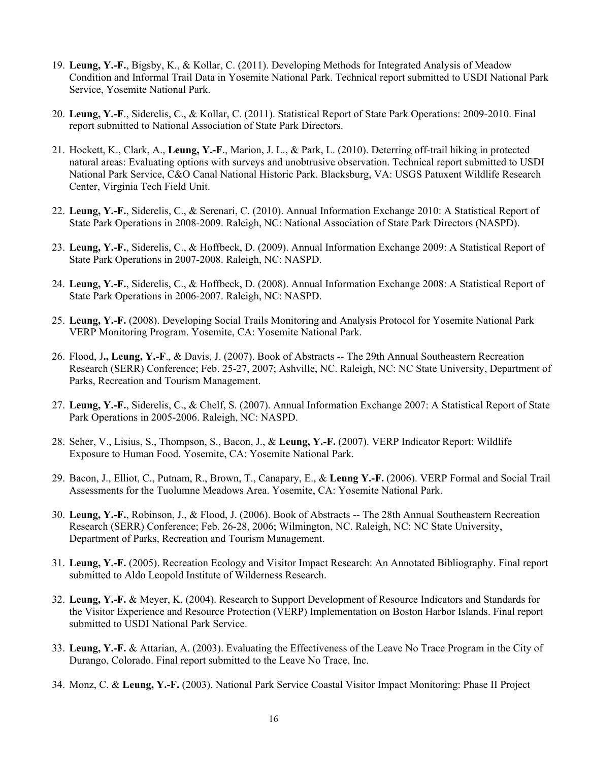- 19. **Leung, Y.-F.**, Bigsby, K., & Kollar, C. (2011). Developing Methods for Integrated Analysis of Meadow Condition and Informal Trail Data in Yosemite National Park. Technical report submitted to USDI National Park Service, Yosemite National Park.
- 20. **Leung, Y.-F**., Siderelis, C., & Kollar, C. (2011). Statistical Report of State Park Operations: 2009-2010. Final report submitted to National Association of State Park Directors.
- 21. Hockett, K., Clark, A., **Leung, Y.-F**., Marion, J. L., & Park, L. (2010). Deterring off-trail hiking in protected natural areas: Evaluating options with surveys and unobtrusive observation. Technical report submitted to USDI National Park Service, C&O Canal National Historic Park. Blacksburg, VA: USGS Patuxent Wildlife Research Center, Virginia Tech Field Unit.
- 22. **Leung, Y.-F.**, Siderelis, C., & Serenari, C. (2010). Annual Information Exchange 2010: A Statistical Report of State Park Operations in 2008-2009. Raleigh, NC: National Association of State Park Directors (NASPD).
- 23. **Leung, Y.-F.**, Siderelis, C., & Hoffbeck, D. (2009). Annual Information Exchange 2009: A Statistical Report of State Park Operations in 2007-2008. Raleigh, NC: NASPD.
- 24. **Leung, Y.-F.**, Siderelis, C., & Hoffbeck, D. (2008). Annual Information Exchange 2008: A Statistical Report of State Park Operations in 2006-2007. Raleigh, NC: NASPD.
- 25. **Leung, Y.-F.** (2008). Developing Social Trails Monitoring and Analysis Protocol for Yosemite National Park VERP Monitoring Program. Yosemite, CA: Yosemite National Park.
- 26. Flood, J**., Leung, Y.-F**., & Davis, J. (2007). Book of Abstracts -- The 29th Annual Southeastern Recreation Research (SERR) Conference; Feb. 25-27, 2007; Ashville, NC. Raleigh, NC: NC State University, Department of Parks, Recreation and Tourism Management.
- 27. **Leung, Y.-F.**, Siderelis, C., & Chelf, S. (2007). Annual Information Exchange 2007: A Statistical Report of State Park Operations in 2005-2006. Raleigh, NC: NASPD.
- 28. Seher, V., Lisius, S., Thompson, S., Bacon, J., & **Leung, Y.-F.** (2007). VERP Indicator Report: Wildlife Exposure to Human Food. Yosemite, CA: Yosemite National Park.
- 29. Bacon, J., Elliot, C., Putnam, R., Brown, T., Canapary, E., & **Leung Y.-F.** (2006). VERP Formal and Social Trail Assessments for the Tuolumne Meadows Area. Yosemite, CA: Yosemite National Park.
- 30. **Leung, Y.-F.**, Robinson, J., & Flood, J. (2006). Book of Abstracts -- The 28th Annual Southeastern Recreation Research (SERR) Conference; Feb. 26-28, 2006; Wilmington, NC. Raleigh, NC: NC State University, Department of Parks, Recreation and Tourism Management.
- 31. **Leung, Y.-F.** (2005). Recreation Ecology and Visitor Impact Research: An Annotated Bibliography. Final report submitted to Aldo Leopold Institute of Wilderness Research.
- 32. **Leung, Y.-F.** & Meyer, K. (2004). Research to Support Development of Resource Indicators and Standards for the Visitor Experience and Resource Protection (VERP) Implementation on Boston Harbor Islands. Final report submitted to USDI National Park Service.
- 33. **Leung, Y.-F.** & Attarian, A. (2003). Evaluating the Effectiveness of the Leave No Trace Program in the City of Durango, Colorado. Final report submitted to the Leave No Trace, Inc.
- 34. Monz, C. & **Leung, Y.-F.** (2003). National Park Service Coastal Visitor Impact Monitoring: Phase II Project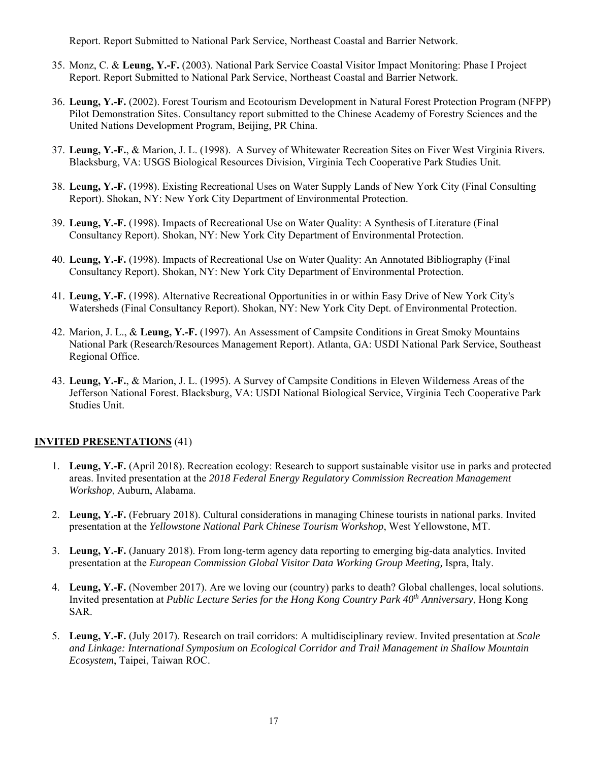Report. Report Submitted to National Park Service, Northeast Coastal and Barrier Network.

- 35. Monz, C. & **Leung, Y.-F.** (2003). National Park Service Coastal Visitor Impact Monitoring: Phase I Project Report. Report Submitted to National Park Service, Northeast Coastal and Barrier Network.
- 36. **Leung, Y.-F.** (2002). Forest Tourism and Ecotourism Development in Natural Forest Protection Program (NFPP) Pilot Demonstration Sites. Consultancy report submitted to the Chinese Academy of Forestry Sciences and the United Nations Development Program, Beijing, PR China.
- 37. **Leung, Y.-F.**, & Marion, J. L. (1998). A Survey of Whitewater Recreation Sites on Fiver West Virginia Rivers. Blacksburg, VA: USGS Biological Resources Division, Virginia Tech Cooperative Park Studies Unit.
- 38. **Leung, Y.-F.** (1998). Existing Recreational Uses on Water Supply Lands of New York City (Final Consulting Report). Shokan, NY: New York City Department of Environmental Protection.
- 39. **Leung, Y.-F.** (1998). Impacts of Recreational Use on Water Quality: A Synthesis of Literature (Final Consultancy Report). Shokan, NY: New York City Department of Environmental Protection.
- 40. **Leung, Y.-F.** (1998). Impacts of Recreational Use on Water Quality: An Annotated Bibliography (Final Consultancy Report). Shokan, NY: New York City Department of Environmental Protection.
- 41. **Leung, Y.-F.** (1998). Alternative Recreational Opportunities in or within Easy Drive of New York City's Watersheds (Final Consultancy Report). Shokan, NY: New York City Dept. of Environmental Protection.
- 42. Marion, J. L., & **Leung, Y.-F.** (1997). An Assessment of Campsite Conditions in Great Smoky Mountains National Park (Research/Resources Management Report). Atlanta, GA: USDI National Park Service, Southeast Regional Office.
- 43. **Leung, Y.-F.**, & Marion, J. L. (1995). A Survey of Campsite Conditions in Eleven Wilderness Areas of the Jefferson National Forest. Blacksburg, VA: USDI National Biological Service, Virginia Tech Cooperative Park Studies Unit.

## **INVITED PRESENTATIONS** (41)

- 1. **Leung, Y.-F.** (April 2018). Recreation ecology: Research to support sustainable visitor use in parks and protected areas. Invited presentation at the *2018 Federal Energy Regulatory Commission Recreation Management Workshop*, Auburn, Alabama.
- 2. **Leung, Y.-F.** (February 2018). Cultural considerations in managing Chinese tourists in national parks. Invited presentation at the *Yellowstone National Park Chinese Tourism Workshop*, West Yellowstone, MT.
- 3. **Leung, Y.-F.** (January 2018). From long-term agency data reporting to emerging big-data analytics. Invited presentation at the *European Commission Global Visitor Data Working Group Meeting,* Ispra, Italy.
- 4. **Leung, Y.-F.** (November 2017). Are we loving our (country) parks to death? Global challenges, local solutions. Invited presentation at *Public Lecture Series for the Hong Kong Country Park 40th Anniversary*, Hong Kong SAR.
- 5. **Leung, Y.-F.** (July 2017). Research on trail corridors: A multidisciplinary review. Invited presentation at *Scale and Linkage: International Symposium on Ecological Corridor and Trail Management in Shallow Mountain Ecosystem*, Taipei, Taiwan ROC.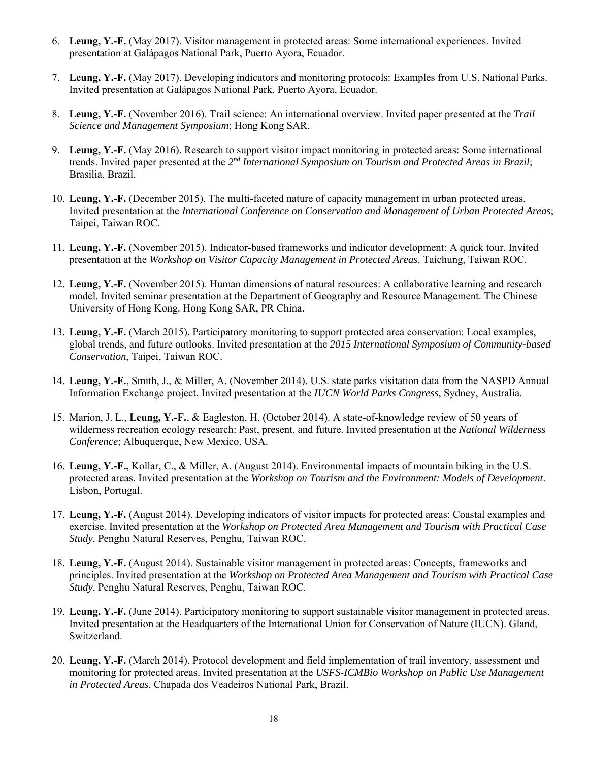- 6. **Leung, Y.-F.** (May 2017). Visitor management in protected areas: Some international experiences. Invited presentation at Galápagos National Park, Puerto Ayora, Ecuador.
- 7. **Leung, Y.-F.** (May 2017). Developing indicators and monitoring protocols: Examples from U.S. National Parks. Invited presentation at Galápagos National Park, Puerto Ayora, Ecuador.
- 8. **Leung, Y.-F.** (November 2016). Trail science: An international overview. Invited paper presented at the *Trail Science and Management Symposium*; Hong Kong SAR.
- 9. **Leung, Y.-F.** (May 2016). Research to support visitor impact monitoring in protected areas: Some international trends. Invited paper presented at the *2nd International Symposium on Tourism and Protected Areas in Brazil*; Brasilia, Brazil.
- 10. **Leung, Y.-F.** (December 2015). The multi-faceted nature of capacity management in urban protected areas. Invited presentation at the *International Conference on Conservation and Management of Urban Protected Areas*; Taipei, Taiwan ROC.
- 11. **Leung, Y.-F.** (November 2015). Indicator-based frameworks and indicator development: A quick tour. Invited presentation at the *Workshop on Visitor Capacity Management in Protected Areas*. Taichung, Taiwan ROC.
- 12. **Leung, Y.-F.** (November 2015). Human dimensions of natural resources: A collaborative learning and research model. Invited seminar presentation at the Department of Geography and Resource Management. The Chinese University of Hong Kong. Hong Kong SAR, PR China.
- 13. **Leung, Y.-F.** (March 2015). Participatory monitoring to support protected area conservation: Local examples, global trends, and future outlooks. Invited presentation at the *2015 International Symposium of Community-based Conservation*, Taipei, Taiwan ROC.
- 14. **Leung, Y.-F.**, Smith, J., & Miller, A. (November 2014). U.S. state parks visitation data from the NASPD Annual Information Exchange project. Invited presentation at the *IUCN World Parks Congress*, Sydney, Australia.
- 15. Marion, J. L., **Leung, Y.-F.**, & Eagleston, H. (October 2014). A state-of-knowledge review of 50 years of wilderness recreation ecology research: Past, present, and future. Invited presentation at the *National Wilderness Conference*; Albuquerque, New Mexico, USA.
- 16. **Leung, Y.-F.,** Kollar, C., & Miller, A. (August 2014). Environmental impacts of mountain biking in the U.S. protected areas. Invited presentation at the *Workshop on Tourism and the Environment: Models of Development*. Lisbon, Portugal.
- 17. **Leung, Y.-F.** (August 2014). Developing indicators of visitor impacts for protected areas: Coastal examples and exercise. Invited presentation at the *Workshop on Protected Area Management and Tourism with Practical Case Study*. Penghu Natural Reserves, Penghu, Taiwan ROC.
- 18. **Leung, Y.-F.** (August 2014). Sustainable visitor management in protected areas: Concepts, frameworks and principles. Invited presentation at the *Workshop on Protected Area Management and Tourism with Practical Case Study*. Penghu Natural Reserves, Penghu, Taiwan ROC.
- 19. **Leung, Y.-F.** (June 2014). Participatory monitoring to support sustainable visitor management in protected areas. Invited presentation at the Headquarters of the International Union for Conservation of Nature (IUCN). Gland, Switzerland.
- 20. **Leung, Y.-F.** (March 2014). Protocol development and field implementation of trail inventory, assessment and monitoring for protected areas. Invited presentation at the *USFS-ICMBio Workshop on Public Use Management in Protected Areas*. Chapada dos Veadeiros National Park, Brazil.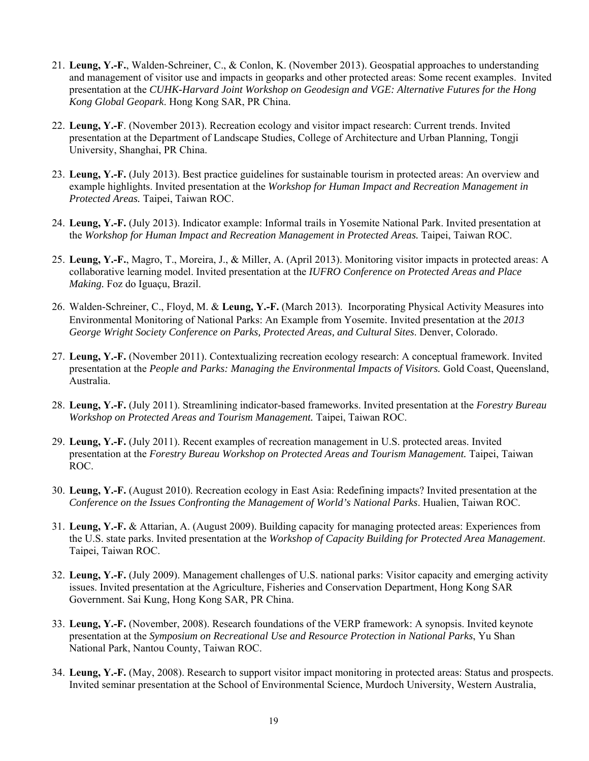- 21. **Leung, Y.-F.**, Walden-Schreiner, C., & Conlon, K. (November 2013). Geospatial approaches to understanding and management of visitor use and impacts in geoparks and other protected areas: Some recent examples. Invited presentation at the *CUHK-Harvard Joint Workshop on Geodesign and VGE: Alternative Futures for the Hong Kong Global Geopark*. Hong Kong SAR, PR China.
- 22. **Leung, Y.-F**. (November 2013). Recreation ecology and visitor impact research: Current trends. Invited presentation at the Department of Landscape Studies, College of Architecture and Urban Planning, Tongji University, Shanghai, PR China.
- 23. **Leung, Y.-F.** (July 2013). Best practice guidelines for sustainable tourism in protected areas: An overview and example highlights. Invited presentation at the *Workshop for Human Impact and Recreation Management in Protected Areas.* Taipei, Taiwan ROC.
- 24. **Leung, Y.-F.** (July 2013). Indicator example: Informal trails in Yosemite National Park. Invited presentation at the *Workshop for Human Impact and Recreation Management in Protected Areas.* Taipei, Taiwan ROC.
- 25. **Leung, Y.-F.**, Magro, T., Moreira, J., & Miller, A. (April 2013). Monitoring visitor impacts in protected areas: A collaborative learning model. Invited presentation at the *IUFRO Conference on Protected Areas and Place Making.* Foz do Iguaçu, Brazil.
- 26. Walden-Schreiner, C., Floyd, M. & **Leung, Y.-F.** (March 2013). Incorporating Physical Activity Measures into Environmental Monitoring of National Parks: An Example from Yosemite. Invited presentation at the *2013 George Wright Society Conference on Parks, Protected Areas, and Cultural Sites*. Denver, Colorado.
- 27. **Leung, Y.-F.** (November 2011). Contextualizing recreation ecology research: A conceptual framework. Invited presentation at the *People and Parks: Managing the Environmental Impacts of Visitors.* Gold Coast, Queensland, Australia.
- 28. **Leung, Y.-F.** (July 2011). Streamlining indicator-based frameworks. Invited presentation at the *Forestry Bureau Workshop on Protected Areas and Tourism Management.* Taipei, Taiwan ROC.
- 29. **Leung, Y.-F.** (July 2011). Recent examples of recreation management in U.S. protected areas. Invited presentation at the *Forestry Bureau Workshop on Protected Areas and Tourism Management.* Taipei, Taiwan ROC.
- 30. **Leung, Y.-F.** (August 2010). Recreation ecology in East Asia: Redefining impacts? Invited presentation at the *Conference on the Issues Confronting the Management of World's National Parks*. Hualien, Taiwan ROC.
- 31. **Leung, Y.-F.** & Attarian, A. (August 2009). Building capacity for managing protected areas: Experiences from the U.S. state parks. Invited presentation at the *Workshop of Capacity Building for Protected Area Management*. Taipei, Taiwan ROC.
- 32. **Leung, Y.-F.** (July 2009). Management challenges of U.S. national parks: Visitor capacity and emerging activity issues. Invited presentation at the Agriculture, Fisheries and Conservation Department, Hong Kong SAR Government. Sai Kung, Hong Kong SAR, PR China.
- 33. **Leung, Y.-F.** (November, 2008). Research foundations of the VERP framework: A synopsis. Invited keynote presentation at the *Symposium on Recreational Use and Resource Protection in National Parks*, Yu Shan National Park, Nantou County, Taiwan ROC.
- 34. **Leung, Y.-F.** (May, 2008). Research to support visitor impact monitoring in protected areas: Status and prospects. Invited seminar presentation at the School of Environmental Science, Murdoch University, Western Australia,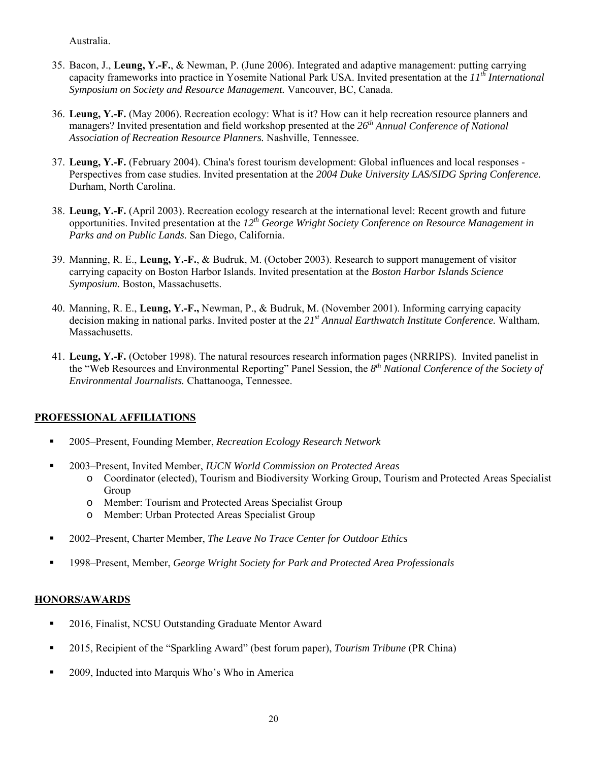Australia.

- 35. Bacon, J., **Leung, Y.-F.**, & Newman, P. (June 2006). Integrated and adaptive management: putting carrying capacity frameworks into practice in Yosemite National Park USA. Invited presentation at the *11th International Symposium on Society and Resource Management.* Vancouver, BC, Canada.
- 36. **Leung, Y.-F.** (May 2006). Recreation ecology: What is it? How can it help recreation resource planners and managers? Invited presentation and field workshop presented at the *26th Annual Conference of National Association of Recreation Resource Planners.* Nashville, Tennessee.
- 37. **Leung, Y.-F.** (February 2004). China's forest tourism development: Global influences and local responses Perspectives from case studies. Invited presentation at the *2004 Duke University LAS/SIDG Spring Conference.*  Durham, North Carolina.
- 38. **Leung, Y.-F.** (April 2003). Recreation ecology research at the international level: Recent growth and future opportunities. Invited presentation at the *12th George Wright Society Conference on Resource Management in Parks and on Public Lands.* San Diego, California.
- 39. Manning, R. E., **Leung, Y.-F.**, & Budruk, M. (October 2003). Research to support management of visitor carrying capacity on Boston Harbor Islands. Invited presentation at the *Boston Harbor Islands Science Symposium.* Boston, Massachusetts.
- 40. Manning, R. E., **Leung, Y.-F.,** Newman, P., & Budruk, M. (November 2001). Informing carrying capacity decision making in national parks. Invited poster at the *21st Annual Earthwatch Institute Conference.* Waltham, Massachusetts.
- 41. **Leung, Y.-F.** (October 1998). The natural resources research information pages (NRRIPS). Invited panelist in the "Web Resources and Environmental Reporting" Panel Session, the *8th National Conference of the Society of Environmental Journalists.* Chattanooga, Tennessee.

# **PROFESSIONAL AFFILIATIONS**

- 2005–Present, Founding Member, *Recreation Ecology Research Network*
- 2003–Present, Invited Member, *IUCN World Commission on Protected Areas*
	- o Coordinator (elected), Tourism and Biodiversity Working Group, Tourism and Protected Areas Specialist Group
	- o Member: Tourism and Protected Areas Specialist Group
	- o Member: Urban Protected Areas Specialist Group
- 2002–Present, Charter Member, *The Leave No Trace Center for Outdoor Ethics*
- 1998–Present, Member, *George Wright Society for Park and Protected Area Professionals*

# **HONORS/AWARDS**

- <sup>2016</sup>, Finalist, NCSU Outstanding Graduate Mentor Award
- 2015, Recipient of the "Sparkling Award" (best forum paper), *Tourism Tribune* (PR China)
- **2009, Inducted into Marquis Who's Who in America**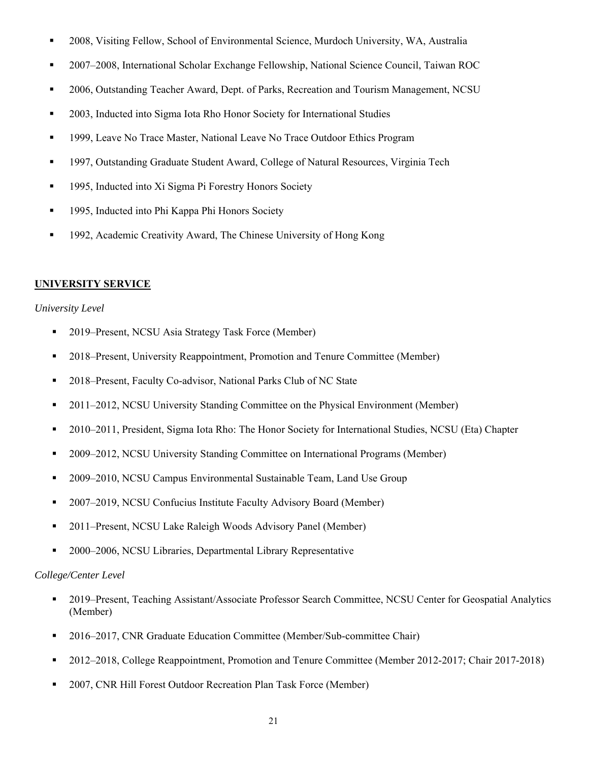- 2008, Visiting Fellow, School of Environmental Science, Murdoch University, WA, Australia
- 2007–2008, International Scholar Exchange Fellowship, National Science Council, Taiwan ROC
- 2006, Outstanding Teacher Award, Dept. of Parks, Recreation and Tourism Management, NCSU
- 2003, Inducted into Sigma Iota Rho Honor Society for International Studies
- <sup>1999</sup>, Leave No Trace Master, National Leave No Trace Outdoor Ethics Program
- 1997, Outstanding Graduate Student Award, College of Natural Resources, Virginia Tech
- <sup>1995</sup>, Inducted into Xi Sigma Pi Forestry Honors Society
- **1995, Inducted into Phi Kappa Phi Honors Society**
- 1992, Academic Creativity Award, The Chinese University of Hong Kong

## **UNIVERSITY SERVICE**

#### *University Level*

- 2019–Present, NCSU Asia Strategy Task Force (Member)
- 2018–Present, University Reappointment, Promotion and Tenure Committee (Member)
- 2018–Present, Faculty Co-advisor, National Parks Club of NC State
- 2011–2012, NCSU University Standing Committee on the Physical Environment (Member)
- 2010–2011, President, Sigma Iota Rho: The Honor Society for International Studies, NCSU (Eta) Chapter
- 2009–2012, NCSU University Standing Committee on International Programs (Member)
- **2009–2010, NCSU Campus Environmental Sustainable Team, Land Use Group**
- 2007–2019, NCSU Confucius Institute Faculty Advisory Board (Member)
- 2011–Present, NCSU Lake Raleigh Woods Advisory Panel (Member)
- 2000–2006, NCSU Libraries, Departmental Library Representative

## *College/Center Level*

- 2019–Present, Teaching Assistant/Associate Professor Search Committee, NCSU Center for Geospatial Analytics (Member)
- 2016–2017, CNR Graduate Education Committee (Member/Sub-committee Chair)
- <sup>2</sup> 2012–2018, College Reappointment, Promotion and Tenure Committee (Member 2012-2017; Chair 2017-2018)
- 2007, CNR Hill Forest Outdoor Recreation Plan Task Force (Member)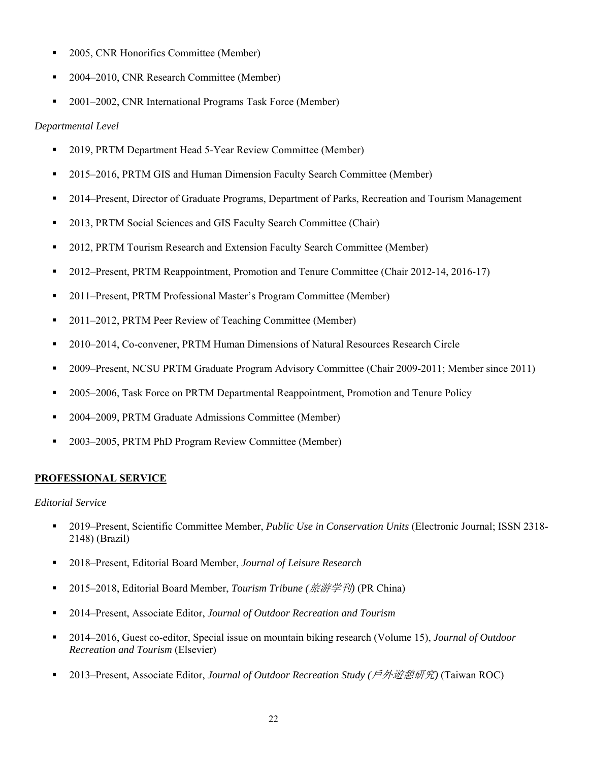- <sup>2005</sup>, CNR Honorifics Committee (Member)
- 2004–2010, CNR Research Committee (Member)
- 2001–2002, CNR International Programs Task Force (Member)

# *Departmental Level*

- 2019, PRTM Department Head 5-Year Review Committee (Member)
- <sup>2015–2016, PRTM GIS and Human Dimension Faculty Search Committee (Member)</sup>
- <sup>2014</sup>–Present, Director of Graduate Programs, Department of Parks, Recreation and Tourism Management
- <sup>2013</sup>, PRTM Social Sciences and GIS Faculty Search Committee (Chair)
- 2012, PRTM Tourism Research and Extension Faculty Search Committee (Member)
- 2012–Present, PRTM Reappointment, Promotion and Tenure Committee (Chair 2012-14, 2016-17)
- 2011–Present, PRTM Professional Master's Program Committee (Member)
- 2011–2012, PRTM Peer Review of Teaching Committee (Member)
- 2010–2014, Co-convener, PRTM Human Dimensions of Natural Resources Research Circle
- 2009–Present, NCSU PRTM Graduate Program Advisory Committee (Chair 2009-2011; Member since 2011)
- 2005–2006, Task Force on PRTM Departmental Reappointment, Promotion and Tenure Policy
- 2004–2009, PRTM Graduate Admissions Committee (Member)
- 2003–2005, PRTM PhD Program Review Committee (Member)

# **PROFESSIONAL SERVICE**

## *Editorial Service*

- 2019–Present, Scientific Committee Member, *Public Use in Conservation Units* (Electronic Journal; ISSN 2318- 2148) (Brazil)
- 2018–Present, Editorial Board Member, *Journal of Leisure Research*
- 2015–2018, Editorial Board Member, *Tourism Tribune (旅游学刊)* (PR China)
- 2014–Present, Associate Editor, *Journal of Outdoor Recreation and Tourism*
- 2014–2016, Guest co-editor, Special issue on mountain biking research (Volume 15), *Journal of Outdoor Recreation and Tourism* (Elsevier)
- 2013–Present, Associate Editor, *Journal of Outdoor Recreation Study (*戶外遊憩研究*)* (Taiwan ROC)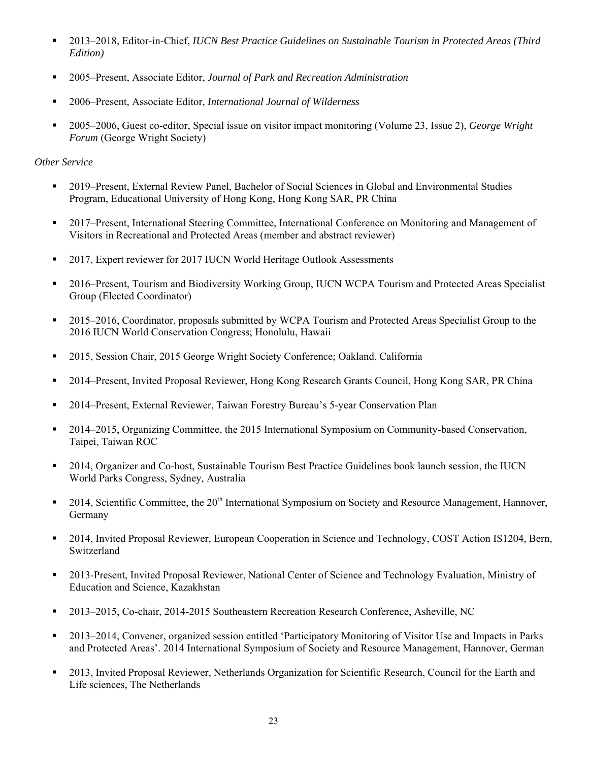- 2013–2018, Editor-in-Chief, *IUCN Best Practice Guidelines on Sustainable Tourism in Protected Areas (Third Edition)*
- 2005–Present, Associate Editor, *Journal of Park and Recreation Administration*
- 2006–Present, Associate Editor, *International Journal of Wilderness*
- 2005–2006, Guest co-editor, Special issue on visitor impact monitoring (Volume 23, Issue 2), *George Wright Forum* (George Wright Society)

## *Other Service*

- 2019–Present, External Review Panel, Bachelor of Social Sciences in Global and Environmental Studies Program, Educational University of Hong Kong, Hong Kong SAR, PR China
- 2017–Present, International Steering Committee, International Conference on Monitoring and Management of Visitors in Recreational and Protected Areas (member and abstract reviewer)
- <sup>2017</sup>, Expert reviewer for 2017 IUCN World Heritage Outlook Assessments
- 2016–Present, Tourism and Biodiversity Working Group, IUCN WCPA Tourism and Protected Areas Specialist Group (Elected Coordinator)
- 2015–2016, Coordinator, proposals submitted by WCPA Tourism and Protected Areas Specialist Group to the 2016 IUCN World Conservation Congress; Honolulu, Hawaii
- 2015, Session Chair, 2015 George Wright Society Conference; Oakland, California
- 2014–Present, Invited Proposal Reviewer, Hong Kong Research Grants Council, Hong Kong SAR, PR China
- 2014–Present, External Reviewer, Taiwan Forestry Bureau's 5-year Conservation Plan
- 2014–2015, Organizing Committee, the 2015 International Symposium on Community-based Conservation, Taipei, Taiwan ROC
- <sup>2014</sup>, Organizer and Co-host, Sustainable Tourism Best Practice Guidelines book launch session, the IUCN World Parks Congress, Sydney, Australia
- 2014, Scientific Committee, the  $20<sup>th</sup>$  International Symposium on Society and Resource Management, Hannover, Germany
- 2014, Invited Proposal Reviewer, European Cooperation in Science and Technology, COST Action IS1204, Bern, Switzerland
- <sup>2013</sup>-Present, Invited Proposal Reviewer, National Center of Science and Technology Evaluation, Ministry of Education and Science, Kazakhstan
- 2013–2015, Co-chair, 2014-2015 Southeastern Recreation Research Conference, Asheville, NC
- 2013–2014, Convener, organized session entitled 'Participatory Monitoring of Visitor Use and Impacts in Parks and Protected Areas'. 2014 International Symposium of Society and Resource Management, Hannover, German
- 2013, Invited Proposal Reviewer, Netherlands Organization for Scientific Research, Council for the Earth and Life sciences, The Netherlands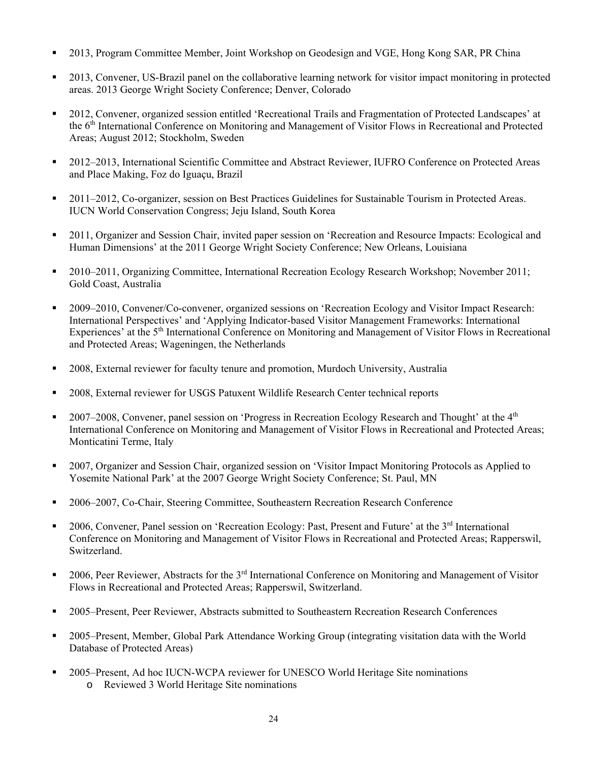- 2013, Program Committee Member, Joint Workshop on Geodesign and VGE, Hong Kong SAR, PR China
- 2013, Convener, US-Brazil panel on the collaborative learning network for visitor impact monitoring in protected areas. 2013 George Wright Society Conference; Denver, Colorado
- 2012, Convener, organized session entitled 'Recreational Trails and Fragmentation of Protected Landscapes' at the 6th International Conference on Monitoring and Management of Visitor Flows in Recreational and Protected Areas; August 2012; Stockholm, Sweden
- 2012–2013, International Scientific Committee and Abstract Reviewer, IUFRO Conference on Protected Areas and Place Making, Foz do Iguaçu, Brazil
- <sup>2011–2012</sup>, Co-organizer, session on Best Practices Guidelines for Sustainable Tourism in Protected Areas. IUCN World Conservation Congress; Jeju Island, South Korea
- 2011, Organizer and Session Chair, invited paper session on 'Recreation and Resource Impacts: Ecological and Human Dimensions' at the 2011 George Wright Society Conference; New Orleans, Louisiana
- <sup>2010–2011</sup>, Organizing Committee, International Recreation Ecology Research Workshop; November 2011; Gold Coast, Australia
- 2009–2010, Convener/Co-convener, organized sessions on 'Recreation Ecology and Visitor Impact Research: International Perspectives' and 'Applying Indicator-based Visitor Management Frameworks: International Experiences' at the 5<sup>th</sup> International Conference on Monitoring and Management of Visitor Flows in Recreational and Protected Areas; Wageningen, the Netherlands
- **2008, External reviewer for faculty tenure and promotion, Murdoch University, Australia**
- 2008, External reviewer for USGS Patuxent Wildlife Research Center technical reports
- 2007–2008, Convener, panel session on 'Progress in Recreation Ecology Research and Thought' at the  $4<sup>th</sup>$ International Conference on Monitoring and Management of Visitor Flows in Recreational and Protected Areas; Monticatini Terme, Italy
- 2007, Organizer and Session Chair, organized session on 'Visitor Impact Monitoring Protocols as Applied to Yosemite National Park' at the 2007 George Wright Society Conference; St. Paul, MN
- 2006–2007, Co-Chair, Steering Committee, Southeastern Recreation Research Conference
- <sup>2006</sup>, Convener, Panel session on 'Recreation Ecology: Past, Present and Future' at the 3<sup>rd</sup> International Conference on Monitoring and Management of Visitor Flows in Recreational and Protected Areas; Rapperswil, Switzerland.
- 2006, Peer Reviewer, Abstracts for the  $3<sup>rd</sup>$  International Conference on Monitoring and Management of Visitor Flows in Recreational and Protected Areas; Rapperswil, Switzerland.
- 2005–Present, Peer Reviewer, Abstracts submitted to Southeastern Recreation Research Conferences
- 2005–Present, Member, Global Park Attendance Working Group (integrating visitation data with the World Database of Protected Areas)
- 2005–Present, Ad hoc IUCN-WCPA reviewer for UNESCO World Heritage Site nominations o Reviewed 3 World Heritage Site nominations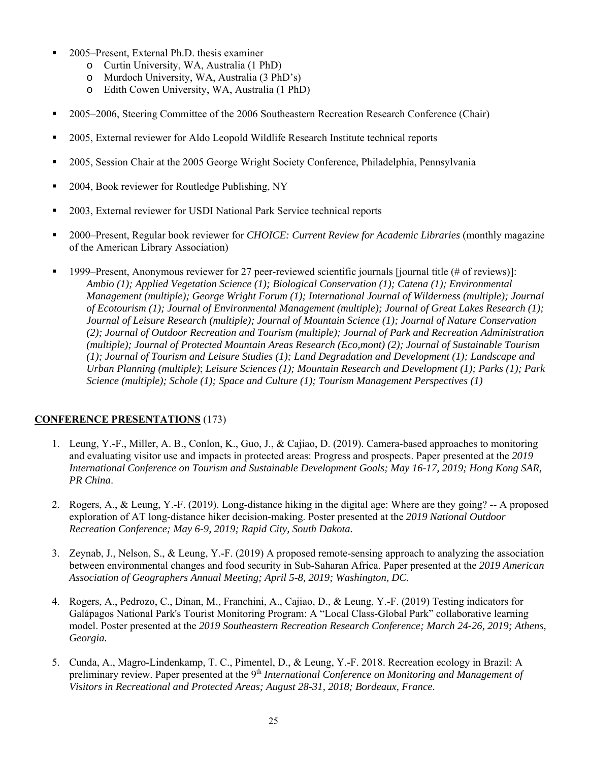- 2005–Present, External Ph.D. thesis examiner
	- o Curtin University, WA, Australia (1 PhD)
	- o Murdoch University, WA, Australia (3 PhD's)
	- o Edith Cowen University, WA, Australia (1 PhD)
- <sup>2005–2006</sup>, Steering Committee of the 2006 Southeastern Recreation Research Conference (Chair)
- 2005, External reviewer for Aldo Leopold Wildlife Research Institute technical reports
- 2005, Session Chair at the 2005 George Wright Society Conference, Philadelphia, Pennsylvania
- 2004, Book reviewer for Routledge Publishing, NY
- <sup>2003</sup>, External reviewer for USDI National Park Service technical reports
- 2000–Present, Regular book reviewer for *CHOICE: Current Review for Academic Libraries* (monthly magazine of the American Library Association)
- 1999–Present, Anonymous reviewer for 27 peer-reviewed scientific journals [journal title (# of reviews)]: *Ambio (1); Applied Vegetation Science (1); Biological Conservation (1); Catena (1); Environmental Management (multiple); George Wright Forum (1); International Journal of Wilderness (multiple); Journal of Ecotourism (1); Journal of Environmental Management (multiple); Journal of Great Lakes Research (1); Journal of Leisure Research (multiple); Journal of Mountain Science (1); Journal of Nature Conservation (2); Journal of Outdoor Recreation and Tourism (multiple); Journal of Park and Recreation Administration (multiple); Journal of Protected Mountain Areas Research (Eco,mont) (2); Journal of Sustainable Tourism (1); Journal of Tourism and Leisure Studies (1); Land Degradation and Development (1); Landscape and Urban Planning (multiple)*; *Leisure Sciences (1); Mountain Research and Development (1); Parks (1); Park Science (multiple); Schole (1); Space and Culture (1); Tourism Management Perspectives (1)*

# **CONFERENCE PRESENTATIONS** (173)

- 1. Leung, Y.-F., Miller, A. B., Conlon, K., Guo, J., & Cajiao, D. (2019). Camera-based approaches to monitoring and evaluating visitor use and impacts in protected areas: Progress and prospects. Paper presented at the *2019 International Conference on Tourism and Sustainable Development Goals; May 16-17, 2019; Hong Kong SAR, PR China*.
- 2. Rogers, A., & Leung, Y.-F. (2019). Long-distance hiking in the digital age: Where are they going? -- A proposed exploration of AT long-distance hiker decision-making. Poster presented at the *2019 National Outdoor Recreation Conference; May 6-9, 2019; Rapid City, South Dakota.*
- 3. Zeynab, J., Nelson, S., & Leung, Y.-F. (2019) A proposed remote-sensing approach to analyzing the association between environmental changes and food security in Sub-Saharan Africa. Paper presented at the *2019 American Association of Geographers Annual Meeting; April 5-8, 2019; Washington, DC.*
- 4. Rogers, A., Pedrozo, C., Dinan, M., Franchini, A., Cajiao, D., & Leung, Y.-F. (2019) Testing indicators for Galápagos National Park's Tourist Monitoring Program: A "Local Class-Global Park" collaborative learning model. Poster presented at the *2019 Southeastern Recreation Research Conference; March 24-26, 2019; Athens, Georgia.*
- 5. Cunda, A., Magro-Lindenkamp, T. C., Pimentel, D., & Leung, Y.-F. 2018. Recreation ecology in Brazil: A preliminary review. Paper presented at the 9<sup>th</sup> *International Conference on Monitoring and Management of Visitors in Recreational and Protected Areas; August 28-31, 2018; Bordeaux, France*.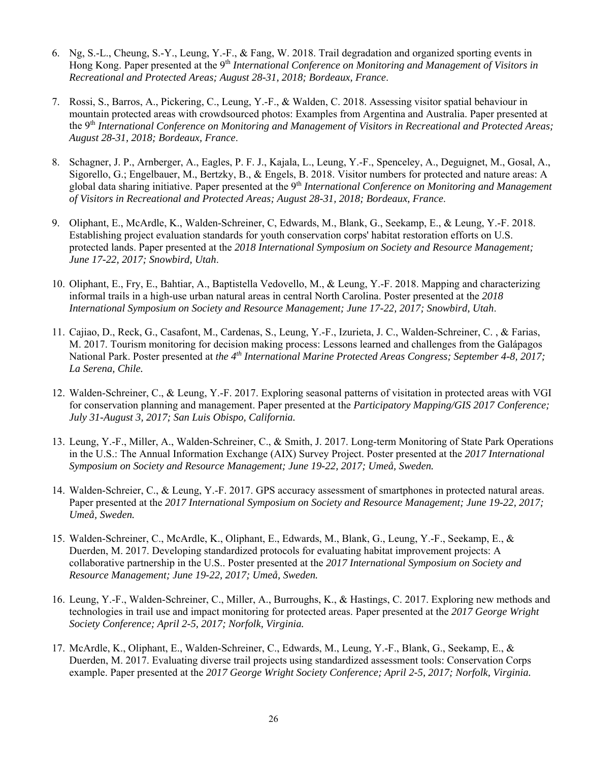- 6. Ng, S.-L., Cheung, S.-Y., Leung, Y.-F., & Fang, W. 2018. Trail degradation and organized sporting events in Hong Kong. Paper presented at the 9<sup>th</sup> *International Conference on Monitoring and Management of Visitors in Recreational and Protected Areas; August 28-31, 2018; Bordeaux, France*.
- 7. Rossi, S., Barros, A., Pickering, C., Leung, Y.-F., & Walden, C. 2018. Assessing visitor spatial behaviour in mountain protected areas with crowdsourced photos: Examples from Argentina and Australia. Paper presented at the 9th *International Conference on Monitoring and Management of Visitors in Recreational and Protected Areas; August 28-31, 2018; Bordeaux, France*.
- 8. Schagner, J. P., Arnberger, A., Eagles, P. F. J., Kajala, L., Leung, Y.-F., Spenceley, A., Deguignet, M., Gosal, A., Sigorello, G.; Engelbauer, M., Bertzky, B., & Engels, B. 2018. Visitor numbers for protected and nature areas: A global data sharing initiative. Paper presented at the 9<sup>th</sup> *International Conference on Monitoring and Management of Visitors in Recreational and Protected Areas; August 28-31, 2018; Bordeaux, France*.
- 9. Oliphant, E., McArdle, K., Walden-Schreiner, C, Edwards, M., Blank, G., Seekamp, E., & Leung, Y.-F. 2018. Establishing project evaluation standards for youth conservation corps' habitat restoration efforts on U.S. protected lands. Paper presented at the *2018 International Symposium on Society and Resource Management; June 17-22, 2017; Snowbird, Utah*.
- 10. Oliphant, E., Fry, E., Bahtiar, A., Baptistella Vedovello, M., & Leung, Y.-F. 2018. Mapping and characterizing informal trails in a high-use urban natural areas in central North Carolina. Poster presented at the *2018 International Symposium on Society and Resource Management; June 17-22, 2017; Snowbird, Utah*.
- 11. Cajiao, D., Reck, G., Casafont, M., Cardenas, S., Leung, Y.-F., Izurieta, J. C., Walden-Schreiner, C. , & Farias, M. 2017. Tourism monitoring for decision making process: Lessons learned and challenges from the Galápagos National Park. Poster presented at *the 4th International Marine Protected Areas Congress; September 4-8, 2017; La Serena, Chile.*
- 12. Walden-Schreiner, C., & Leung, Y.-F. 2017. Exploring seasonal patterns of visitation in protected areas with VGI for conservation planning and management. Paper presented at the *Participatory Mapping/GIS 2017 Conference; July 31-August 3, 2017; San Luis Obispo, California.*
- 13. Leung, Y.-F., Miller, A., Walden-Schreiner, C., & Smith, J. 2017. Long-term Monitoring of State Park Operations in the U.S.: The Annual Information Exchange (AIX) Survey Project. Poster presented at the *2017 International Symposium on Society and Resource Management; June 19-22, 2017; Umeå, Sweden.*
- 14. Walden-Schreier, C., & Leung, Y.-F. 2017. GPS accuracy assessment of smartphones in protected natural areas. Paper presented at the *2017 International Symposium on Society and Resource Management; June 19-22, 2017; Umeå, Sweden.*
- 15. Walden-Schreiner, C., McArdle, K., Oliphant, E., Edwards, M., Blank, G., Leung, Y.-F., Seekamp, E., & Duerden, M. 2017. Developing standardized protocols for evaluating habitat improvement projects: A collaborative partnership in the U.S.. Poster presented at the *2017 International Symposium on Society and Resource Management; June 19-22, 2017; Umeå, Sweden.*
- 16. Leung, Y.-F., Walden-Schreiner, C., Miller, A., Burroughs, K., & Hastings, C. 2017. Exploring new methods and technologies in trail use and impact monitoring for protected areas. Paper presented at the *2017 George Wright Society Conference; April 2-5, 2017; Norfolk, Virginia.*
- 17. McArdle, K., Oliphant, E., Walden-Schreiner, C., Edwards, M., Leung, Y.-F., Blank, G., Seekamp, E., & Duerden, M. 2017. Evaluating diverse trail projects using standardized assessment tools: Conservation Corps example. Paper presented at the *2017 George Wright Society Conference; April 2-5, 2017; Norfolk, Virginia.*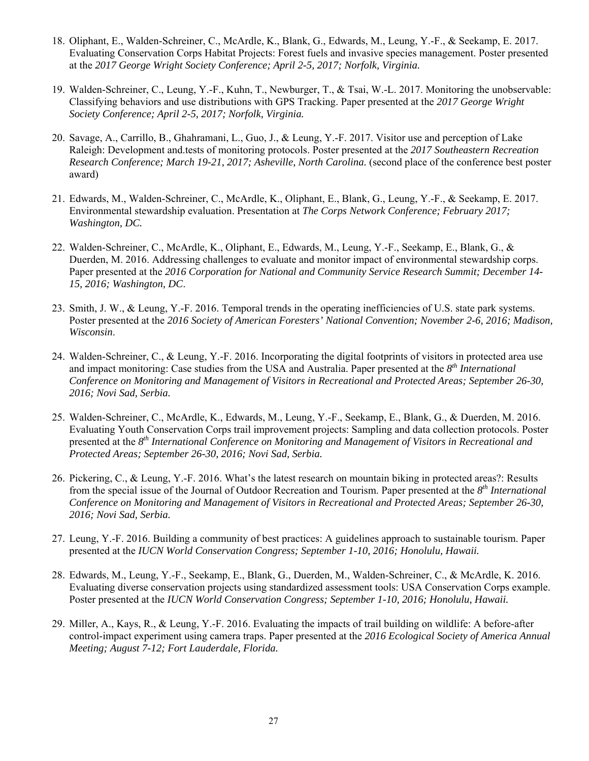- 18. Oliphant, E., Walden-Schreiner, C., McArdle, K., Blank, G., Edwards, M., Leung, Y.-F., & Seekamp, E. 2017. Evaluating Conservation Corps Habitat Projects: Forest fuels and invasive species management. Poster presented at the *2017 George Wright Society Conference; April 2-5, 2017; Norfolk, Virginia.*
- 19. Walden-Schreiner, C., Leung, Y.-F., Kuhn, T., Newburger, T., & Tsai, W.-L. 2017. Monitoring the unobservable: Classifying behaviors and use distributions with GPS Tracking. Paper presented at the *2017 George Wright Society Conference; April 2-5, 2017; Norfolk, Virginia.*
- 20. Savage, A., Carrillo, B., Ghahramani, L., Guo, J., & Leung, Y.-F. 2017. Visitor use and perception of Lake Raleigh: Development and.tests of monitoring protocols. Poster presented at the *2017 Southeastern Recreation Research Conference; March 19-21, 2017; Asheville, North Carolina.* (second place of the conference best poster award)
- 21. Edwards, M., Walden-Schreiner, C., McArdle, K., Oliphant, E., Blank, G., Leung, Y.-F., & Seekamp, E. 2017. Environmental stewardship evaluation. Presentation at *The Corps Network Conference; February 2017; Washington, DC.*
- 22. Walden-Schreiner, C., McArdle, K., Oliphant, E., Edwards, M., Leung, Y.-F., Seekamp, E., Blank, G., & Duerden, M. 2016. Addressing challenges to evaluate and monitor impact of environmental stewardship corps. Paper presented at the *2016 Corporation for National and Community Service Research Summit; December 14- 15, 2016; Washington, DC*.
- 23. Smith, J. W., & Leung, Y.-F. 2016. Temporal trends in the operating inefficiencies of U.S. state park systems. Poster presented at the *2016 Society of American Foresters' National Convention; November 2-6, 2016; Madison, Wisconsin*.
- 24. Walden-Schreiner, C., & Leung, Y.-F. 2016. Incorporating the digital footprints of visitors in protected area use and impact monitoring: Case studies from the USA and Australia. Paper presented at the *8th International Conference on Monitoring and Management of Visitors in Recreational and Protected Areas; September 26-30, 2016; Novi Sad, Serbia.*
- 25. Walden-Schreiner, C., McArdle, K., Edwards, M., Leung, Y.-F., Seekamp, E., Blank, G., & Duerden, M. 2016. Evaluating Youth Conservation Corps trail improvement projects: Sampling and data collection protocols. Poster presented at the *8th International Conference on Monitoring and Management of Visitors in Recreational and Protected Areas; September 26-30, 2016; Novi Sad, Serbia.*
- 26. Pickering, C., & Leung, Y.-F. 2016. What's the latest research on mountain biking in protected areas?: Results from the special issue of the Journal of Outdoor Recreation and Tourism. Paper presented at the *8th International Conference on Monitoring and Management of Visitors in Recreational and Protected Areas; September 26-30, 2016; Novi Sad, Serbia.*
- 27. Leung, Y.-F. 2016. Building a community of best practices: A guidelines approach to sustainable tourism. Paper presented at the *IUCN World Conservation Congress; September 1-10, 2016; Honolulu, Hawaii.*
- 28. Edwards, M., Leung, Y.-F., Seekamp, E., Blank, G., Duerden, M., Walden-Schreiner, C., & McArdle, K. 2016. Evaluating diverse conservation projects using standardized assessment tools: USA Conservation Corps example. Poster presented at the *IUCN World Conservation Congress; September 1-10, 2016; Honolulu, Hawaii.*
- 29. Miller, A., Kays, R., & Leung, Y.-F. 2016. Evaluating the impacts of trail building on wildlife: A before-after control-impact experiment using camera traps. Paper presented at the *2016 Ecological Society of America Annual Meeting; August 7-12; Fort Lauderdale, Florida.*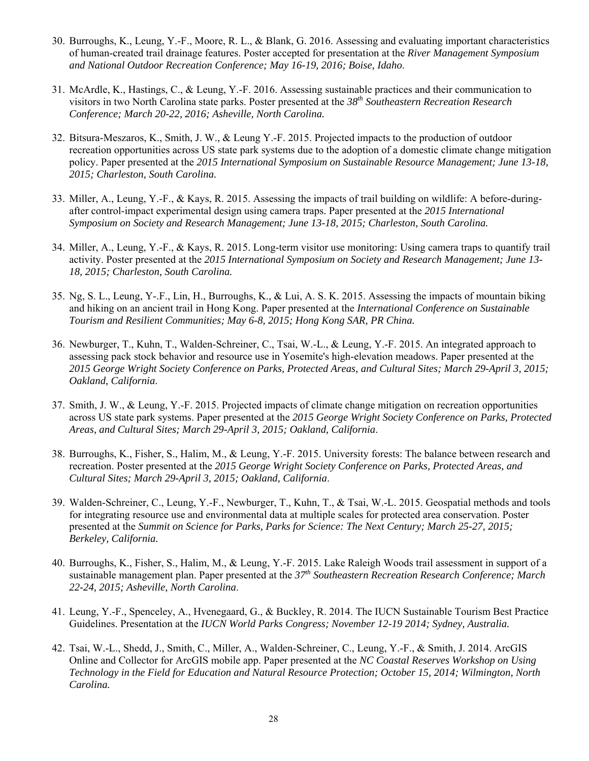- 30. Burroughs, K., Leung, Y.-F., Moore, R. L., & Blank, G. 2016. Assessing and evaluating important characteristics of human-created trail drainage features. Poster accepted for presentation at the *River Management Symposium and National Outdoor Recreation Conference; May 16-19, 2016; Boise, Idaho*.
- 31. McArdle, K., Hastings, C., & Leung, Y.-F. 2016. Assessing sustainable practices and their communication to visitors in two North Carolina state parks. Poster presented at the *38th Southeastern Recreation Research Conference; March 20-22, 2016; Asheville, North Carolina.*
- 32. Bitsura-Meszaros, K., Smith, J. W., & Leung Y.-F. 2015. Projected impacts to the production of outdoor recreation opportunities across US state park systems due to the adoption of a domestic climate change mitigation policy. Paper presented at the *2015 International Symposium on Sustainable Resource Management; June 13-18, 2015; Charleston, South Carolina.*
- 33. Miller, A., Leung, Y.-F., & Kays, R. 2015. Assessing the impacts of trail building on wildlife: A before-duringafter control-impact experimental design using camera traps. Paper presented at the *2015 International Symposium on Society and Research Management; June 13-18, 2015; Charleston, South Carolina.*
- 34. Miller, A., Leung, Y.-F., & Kays, R. 2015. Long-term visitor use monitoring: Using camera traps to quantify trail activity. Poster presented at the *2015 International Symposium on Society and Research Management; June 13- 18, 2015; Charleston, South Carolina.*
- 35. Ng, S. L., Leung, Y-.F., Lin, H., Burroughs, K., & Lui, A. S. K. 2015. Assessing the impacts of mountain biking and hiking on an ancient trail in Hong Kong. Paper presented at the *International Conference on Sustainable Tourism and Resilient Communities; May 6-8, 2015; Hong Kong SAR, PR China.*
- 36. Newburger, T., Kuhn, T., Walden-Schreiner, C., Tsai, W.-L., & Leung, Y.-F. 2015. An integrated approach to assessing pack stock behavior and resource use in Yosemite's high-elevation meadows. Paper presented at the *2015 George Wright Society Conference on Parks, Protected Areas, and Cultural Sites; March 29-April 3, 2015; Oakland, California*.
- 37. Smith, J. W., & Leung, Y.-F. 2015. Projected impacts of climate change mitigation on recreation opportunities across US state park systems. Paper presented at the *2015 George Wright Society Conference on Parks, Protected Areas, and Cultural Sites; March 29-April 3, 2015; Oakland, California*.
- 38. Burroughs, K., Fisher, S., Halim, M., & Leung, Y.-F. 2015. University forests: The balance between research and recreation. Poster presented at the *2015 George Wright Society Conference on Parks, Protected Areas, and Cultural Sites; March 29-April 3, 2015; Oakland, California*.
- 39. Walden-Schreiner, C., Leung, Y.-F., Newburger, T., Kuhn, T., & Tsai, W.-L. 2015. Geospatial methods and tools for integrating resource use and environmental data at multiple scales for protected area conservation. Poster presented at the *Summit on Science for Parks, Parks for Science: The Next Century; March 25-27, 2015; Berkeley, California.*
- 40. Burroughs, K., Fisher, S., Halim, M., & Leung, Y.-F. 2015. Lake Raleigh Woods trail assessment in support of a sustainable management plan. Paper presented at the *37th Southeastern Recreation Research Conference; March 22-24, 2015; Asheville, North Carolina*.
- 41. Leung, Y.-F., Spenceley, A., Hvenegaard, G., & Buckley, R. 2014. The IUCN Sustainable Tourism Best Practice Guidelines. Presentation at the *IUCN World Parks Congress; November 12-19 2014; Sydney, Australia.*
- 42. Tsai, W.-L., Shedd, J., Smith, C., Miller, A., Walden-Schreiner, C., Leung, Y.-F., & Smith, J. 2014. ArcGIS Online and Collector for ArcGIS mobile app. Paper presented at the *NC Coastal Reserves Workshop on Using Technology in the Field for Education and Natural Resource Protection; October 15, 2014; Wilmington, North Carolina.*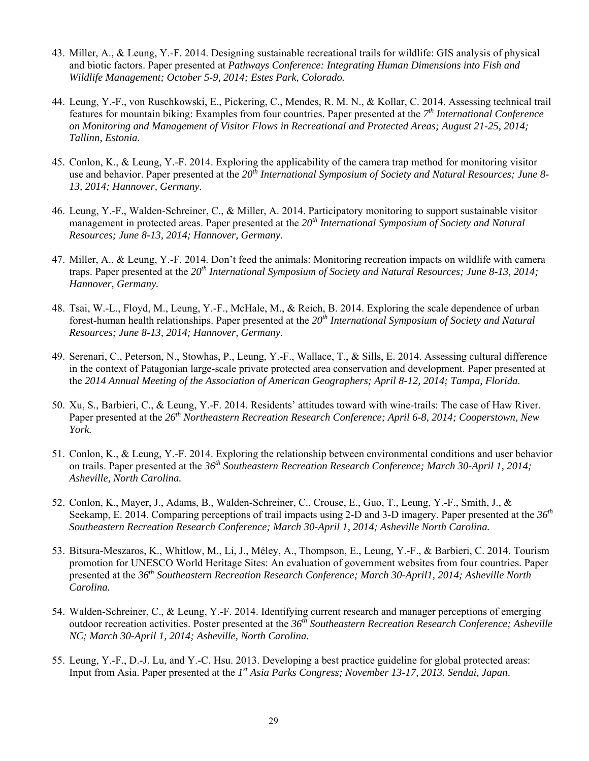- 43. Miller, A., & Leung, Y.-F. 2014. Designing sustainable recreational trails for wildlife: GIS analysis of physical and biotic factors. Paper presented at *Pathways Conference: Integrating Human Dimensions into Fish and Wildlife Management; October 5-9, 2014; Estes Park, Colorado.*
- 44. Leung, Y.-F., von Ruschkowski, E., Pickering, C., Mendes, R. M. N., & Kollar, C. 2014. Assessing technical trail features for mountain biking: Examples from four countries. Paper presented at the *7th International Conference on Monitoring and Management of Visitor Flows in Recreational and Protected Areas; August 21-25, 2014; Tallinn, Estonia*.
- 45. Conlon, K., & Leung, Y.-F. 2014. Exploring the applicability of the camera trap method for monitoring visitor use and behavior. Paper presented at the *20th International Symposium of Society and Natural Resources; June 8- 13, 2014; Hannover, Germany.*
- 46. Leung, Y.-F., Walden-Schreiner, C., & Miller, A. 2014. Participatory monitoring to support sustainable visitor management in protected areas. Paper presented at the *20th International Symposium of Society and Natural Resources; June 8-13, 2014; Hannover, Germany.*
- 47. Miller, A., & Leung, Y.-F. 2014. Don't feed the animals: Monitoring recreation impacts on wildlife with camera traps. Paper presented at the *20th International Symposium of Society and Natural Resources; June 8-13, 2014; Hannover, Germany.*
- 48. Tsai, W.-L., Floyd, M., Leung, Y.-F., McHale, M., & Reich, B. 2014. Exploring the scale dependence of urban forest-human health relationships. Paper presented at the *20th International Symposium of Society and Natural Resources; June 8-13, 2014; Hannover, Germany.*
- 49. Serenari, C., Peterson, N., Stowhas, P., Leung, Y.-F., Wallace, T., & Sills, E. 2014. Assessing cultural difference in the context of Patagonian large-scale private protected area conservation and development. Paper presented at the *2014 Annual Meeting of the Association of American Geographers; April 8-12, 2014; Tampa, Florida.*
- 50. Xu, S., Barbieri, C., & Leung, Y.-F. 2014. Residents' attitudes toward with wine-trails: The case of Haw River. Paper presented at the *26th Northeastern Recreation Research Conference; April 6-8, 2014; Cooperstown, New York.*
- 51. Conlon, K., & Leung, Y.-F. 2014. Exploring the relationship between environmental conditions and user behavior on trails. Paper presented at the *36th Southeastern Recreation Research Conference; March 30-April 1, 2014; Asheville, North Carolina.*
- 52. Conlon, K., Mayer, J., Adams, B., Walden-Schreiner, C., Crouse, E., Guo, T., Leung, Y.-F., Smith, J., & Seekamp, E. 2014. Comparing perceptions of trail impacts using 2-D and 3-D imagery. Paper presented at the *36th Southeastern Recreation Research Conference; March 30-April 1, 2014; Asheville North Carolina.*
- 53. Bitsura-Meszaros, K., Whitlow, M., Li, J., Méley, A., Thompson, E., Leung, Y.-F., & Barbieri, C. 2014. Tourism promotion for UNESCO World Heritage Sites: An evaluation of government websites from four countries. Paper presented at the *36th Southeastern Recreation Research Conference; March 30-April1, 2014; Asheville North Carolina.*
- 54. Walden-Schreiner, C., & Leung, Y.-F. 2014. Identifying current research and manager perceptions of emerging outdoor recreation activities. Poster presented at the *36th Southeastern Recreation Research Conference; Asheville NC; March 30-April 1, 2014; Asheville, North Carolina.*
- 55. Leung, Y.-F., D.-J. Lu, and Y.-C. Hsu. 2013. Developing a best practice guideline for global protected areas: Input from Asia. Paper presented at the *1st Asia Parks Congress; November 13-17, 2013. Sendai, Japan*.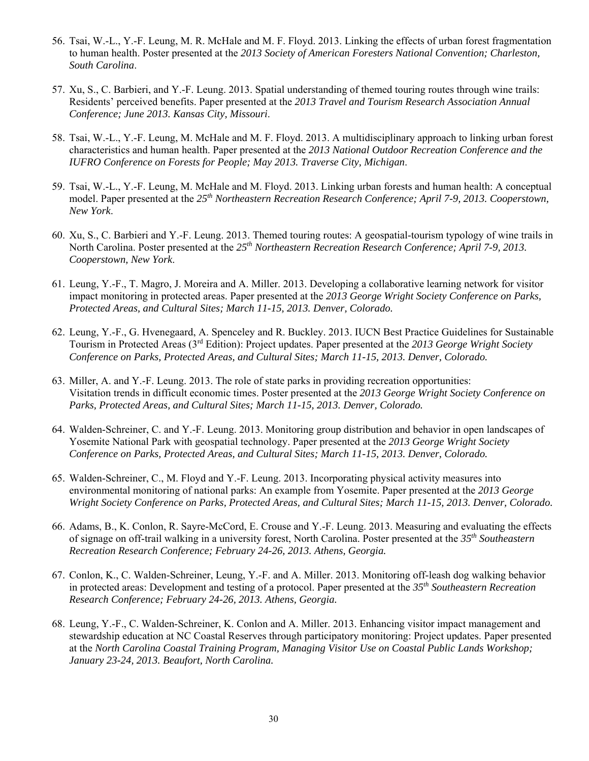- 56. Tsai, W.-L., Y.-F. Leung, M. R. McHale and M. F. Floyd. 2013. Linking the effects of urban forest fragmentation to human health. Poster presented at the *2013 Society of American Foresters National Convention; Charleston, South Carolina*.
- 57. Xu, S., C. Barbieri, and Y.-F. Leung. 2013. Spatial understanding of themed touring routes through wine trails: Residents' perceived benefits. Paper presented at the *2013 Travel and Tourism Research Association Annual Conference; June 2013. Kansas City, Missouri*.
- 58. Tsai, W.-L., Y.-F. Leung, M. McHale and M. F. Floyd. 2013. A multidisciplinary approach to linking urban forest characteristics and human health. Paper presented at the *2013 National Outdoor Recreation Conference and the IUFRO Conference on Forests for People; May 2013. Traverse City, Michigan*.
- 59. Tsai, W.-L., Y.-F. Leung, M. McHale and M. Floyd. 2013. Linking urban forests and human health: A conceptual model. Paper presented at the *25th Northeastern Recreation Research Conference; April 7-9, 2013. Cooperstown, New York*.
- 60. Xu, S., C. Barbieri and Y.-F. Leung. 2013. Themed touring routes: A geospatial-tourism typology of wine trails in North Carolina. Poster presented at the *25th Northeastern Recreation Research Conference; April 7-9, 2013. Cooperstown, New York*.
- 61. Leung, Y.-F., T. Magro, J. Moreira and A. Miller. 2013. Developing a collaborative learning network for visitor impact monitoring in protected areas. Paper presented at the *2013 George Wright Society Conference on Parks, Protected Areas, and Cultural Sites; March 11-15, 2013. Denver, Colorado.*
- 62. Leung, Y.-F., G. Hvenegaard, A. Spenceley and R. Buckley. 2013. IUCN Best Practice Guidelines for Sustainable Tourism in Protected Areas (3rd Edition): Project updates. Paper presented at the *2013 George Wright Society Conference on Parks, Protected Areas, and Cultural Sites; March 11-15, 2013. Denver, Colorado.*
- 63. Miller, A. and Y.-F. Leung. 2013. The role of state parks in providing recreation opportunities: Visitation trends in difficult economic times. Poster presented at the *2013 George Wright Society Conference on Parks, Protected Areas, and Cultural Sites; March 11-15, 2013. Denver, Colorado.*
- 64. Walden-Schreiner, C. and Y.-F. Leung. 2013. Monitoring group distribution and behavior in open landscapes of Yosemite National Park with geospatial technology. Paper presented at the *2013 George Wright Society Conference on Parks, Protected Areas, and Cultural Sites; March 11-15, 2013. Denver, Colorado.*
- 65. Walden-Schreiner, C., M. Floyd and Y.-F. Leung. 2013. Incorporating physical activity measures into environmental monitoring of national parks: An example from Yosemite. Paper presented at the *2013 George Wright Society Conference on Parks, Protected Areas, and Cultural Sites; March 11-15, 2013. Denver, Colorado.*
- 66. Adams, B., K. Conlon, R. Sayre-McCord, E. Crouse and Y.-F. Leung. 2013. Measuring and evaluating the effects of signage on off-trail walking in a university forest, North Carolina. Poster presented at the *35th Southeastern Recreation Research Conference; February 24-26, 2013. Athens, Georgia.*
- 67. Conlon, K., C. Walden-Schreiner, Leung, Y.-F. and A. Miller. 2013. Monitoring off-leash dog walking behavior in protected areas: Development and testing of a protocol. Paper presented at the *35th Southeastern Recreation Research Conference; February 24-26, 2013. Athens, Georgia.*
- 68. Leung, Y.-F., C. Walden-Schreiner, K. Conlon and A. Miller. 2013. Enhancing visitor impact management and stewardship education at NC Coastal Reserves through participatory monitoring: Project updates. Paper presented at the *North Carolina Coastal Training Program, Managing Visitor Use on Coastal Public Lands Workshop; January 23-24, 2013. Beaufort, North Carolina.*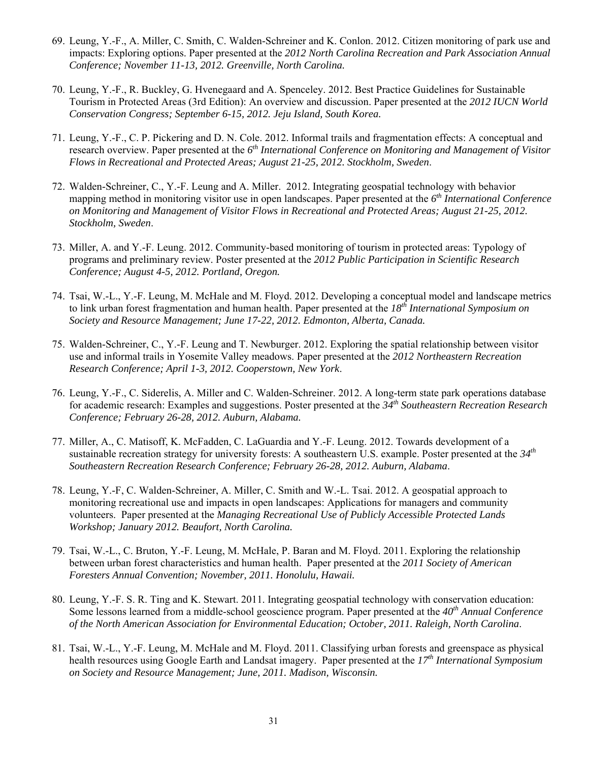- 69. Leung, Y.-F., A. Miller, C. Smith, C. Walden-Schreiner and K. Conlon. 2012. Citizen monitoring of park use and impacts: Exploring options. Paper presented at the *2012 North Carolina Recreation and Park Association Annual Conference; November 11-13, 2012. Greenville, North Carolina.*
- 70. Leung, Y.-F., R. Buckley, G. Hvenegaard and A. Spenceley. 2012. Best Practice Guidelines for Sustainable Tourism in Protected Areas (3rd Edition): An overview and discussion. Paper presented at the *2012 IUCN World Conservation Congress; September 6-15, 2012. Jeju Island, South Korea.*
- 71. Leung, Y.-F., C. P. Pickering and D. N. Cole. 2012. Informal trails and fragmentation effects: A conceptual and research overview. Paper presented at the *6th International Conference on Monitoring and Management of Visitor Flows in Recreational and Protected Areas; August 21-25, 2012. Stockholm, Sweden*.
- 72. Walden-Schreiner, C., Y.-F. Leung and A. Miller. 2012. Integrating geospatial technology with behavior mapping method in monitoring visitor use in open landscapes. Paper presented at the *6th International Conference on Monitoring and Management of Visitor Flows in Recreational and Protected Areas; August 21-25, 2012. Stockholm, Sweden*.
- 73. Miller, A. and Y.-F. Leung. 2012. Community-based monitoring of tourism in protected areas: Typology of programs and preliminary review. Poster presented at the *2012 Public Participation in Scientific Research Conference; August 4-5, 2012. Portland, Oregon.*
- 74. Tsai, W.-L., Y.-F. Leung, M. McHale and M. Floyd. 2012. Developing a conceptual model and landscape metrics to link urban forest fragmentation and human health. Paper presented at the *18th International Symposium on Society and Resource Management; June 17-22, 2012. Edmonton, Alberta, Canada.*
- 75. Walden-Schreiner, C., Y.-F. Leung and T. Newburger. 2012. Exploring the spatial relationship between visitor use and informal trails in Yosemite Valley meadows. Paper presented at the *2012 Northeastern Recreation Research Conference; April 1-3, 2012. Cooperstown, New York*.
- 76. Leung, Y.-F., C. Siderelis, A. Miller and C. Walden-Schreiner. 2012. A long-term state park operations database for academic research: Examples and suggestions. Poster presented at the *34th Southeastern Recreation Research Conference; February 26-28, 2012. Auburn, Alabama.*
- 77. Miller, A., C. Matisoff, K. McFadden, C. LaGuardia and Y.-F. Leung. 2012. Towards development of a sustainable recreation strategy for university forests: A southeastern U.S. example. Poster presented at the *34th Southeastern Recreation Research Conference; February 26-28, 2012. Auburn, Alabama*.
- 78. Leung, Y.-F, C. Walden-Schreiner, A. Miller, C. Smith and W.-L. Tsai. 2012. A geospatial approach to monitoring recreational use and impacts in open landscapes: Applications for managers and community volunteers. Paper presented at the *Managing Recreational Use of Publicly Accessible Protected Lands Workshop; January 2012. Beaufort, North Carolina.*
- 79. Tsai, W.-L., C. Bruton, Y.-F. Leung, M. McHale, P. Baran and M. Floyd. 2011. Exploring the relationship between urban forest characteristics and human health. Paper presented at the *2011 Society of American Foresters Annual Convention; November, 2011. Honolulu, Hawaii.*
- 80. Leung, Y.-F. S. R. Ting and K. Stewart. 2011. Integrating geospatial technology with conservation education: Some lessons learned from a middle-school geoscience program. Paper presented at the *40th Annual Conference of the North American Association for Environmental Education; October, 2011. Raleigh, North Carolina*.
- 81. Tsai, W.-L., Y.-F. Leung, M. McHale and M. Floyd. 2011. Classifying urban forests and greenspace as physical health resources using Google Earth and Landsat imagery. Paper presented at the *17th International Symposium on Society and Resource Management; June, 2011. Madison, Wisconsin.*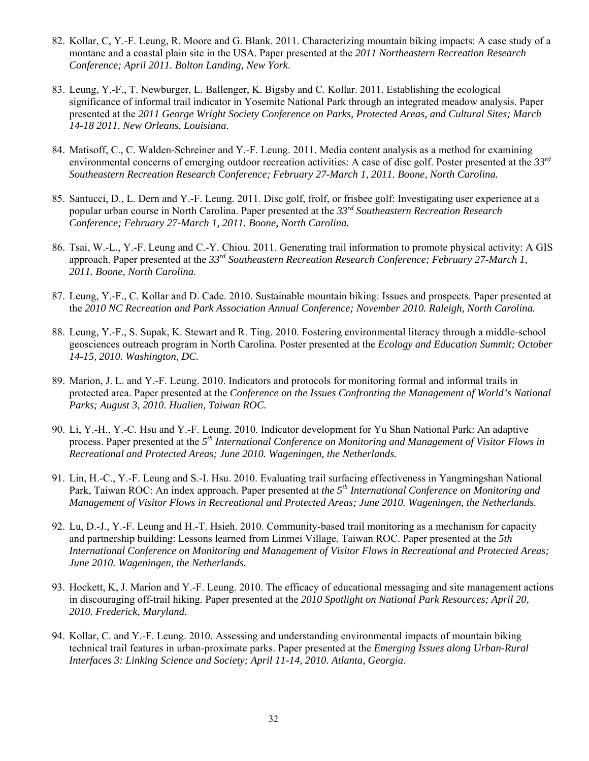- 82. Kollar, C, Y.-F. Leung, R. Moore and G. Blank. 2011. Characterizing mountain biking impacts: A case study of a montane and a coastal plain site in the USA. Paper presented at the *2011 Northeastern Recreation Research Conference; April 2011. Bolton Landing, New York*.
- 83. Leung, Y.-F., T. Newburger, L. Ballenger, K. Bigsby and C. Kollar. 2011. Establishing the ecological significance of informal trail indicator in Yosemite National Park through an integrated meadow analysis. Paper presented at the *2011 George Wright Society Conference on Parks, Protected Areas, and Cultural Sites; March 14-18 2011. New Orleans, Louisiana*.
- 84. Matisoff, C., C. Walden-Schreiner and Y.-F. Leung. 2011. Media content analysis as a method for examining environmental concerns of emerging outdoor recreation activities: A case of disc golf. Poster presented at the *33rd Southeastern Recreation Research Conference; February 27-March 1, 2011. Boone, North Carolina.*
- 85. Santucci, D., L. Dern and Y.-F. Leung. 2011. Disc golf, frolf, or frisbee golf: Investigating user experience at a popular urban course in North Carolina. Paper presented at the *33rd Southeastern Recreation Research Conference; February 27-March 1, 2011. Boone, North Carolina.*
- 86. Tsai, W.-L., Y.-F. Leung and C.-Y. Chiou. 2011. Generating trail information to promote physical activity: A GIS approach. Paper presented at the *33rd Southeastern Recreation Research Conference; February 27-March 1, 2011. Boone, North Carolina.*
- 87. Leung, Y.-F., C. Kollar and D. Cade. 2010. Sustainable mountain biking: Issues and prospects. Paper presented at the *2010 NC Recreation and Park Association Annual Conference; November 2010. Raleigh, North Carolina.*
- 88. Leung, Y.-F., S. Supak, K. Stewart and R. Ting. 2010. Fostering environmental literacy through a middle-school geosciences outreach program in North Carolina. Poster presented at the *Ecology and Education Summit; October 14-15, 2010. Washington, DC.*
- 89. Marion, J. L. and Y.-F. Leung. 2010. Indicators and protocols for monitoring formal and informal trails in protected area. Paper presented at the *Conference on the Issues Confronting the Management of World's National Parks; August 3, 2010. Hualien, Taiwan ROC.*
- 90. Li, Y.-H., Y.-C. Hsu and Y.-F. Leung. 2010. Indicator development for Yu Shan National Park: An adaptive process. Paper presented at the *5th International Conference on Monitoring and Management of Visitor Flows in Recreational and Protected Areas; June 2010. Wageningen, the Netherlands.*
- 91. Lin, H.-C., Y.-F. Leung and S.-I. Hsu. 2010. Evaluating trail surfacing effectiveness in Yangmingshan National Park, Taiwan ROC: An index approach. Paper presented at *the 5th International Conference on Monitoring and Management of Visitor Flows in Recreational and Protected Areas; June 2010. Wageningen, the Netherlands.*
- 92. Lu, D.-J., Y.-F. Leung and H.-T. Hsieh. 2010. Community-based trail monitoring as a mechanism for capacity and partnership building: Lessons learned from Linmei Village, Taiwan ROC. Paper presented at the *5th International Conference on Monitoring and Management of Visitor Flows in Recreational and Protected Areas; June 2010. Wageningen, the Netherlands.*
- 93. Hockett, K, J. Marion and Y.-F. Leung. 2010. The efficacy of educational messaging and site management actions in discouraging off-trail hiking. Paper presented at the *2010 Spotlight on National Park Resources; April 20, 2010. Frederick, Maryland.*
- 94. Kollar, C. and Y.-F. Leung. 2010. Assessing and understanding environmental impacts of mountain biking technical trail features in urban-proximate parks. Paper presented at the *Emerging Issues along Urban-Rural Interfaces 3: Linking Science and Society; April 11-14, 2010. Atlanta, Georgia*.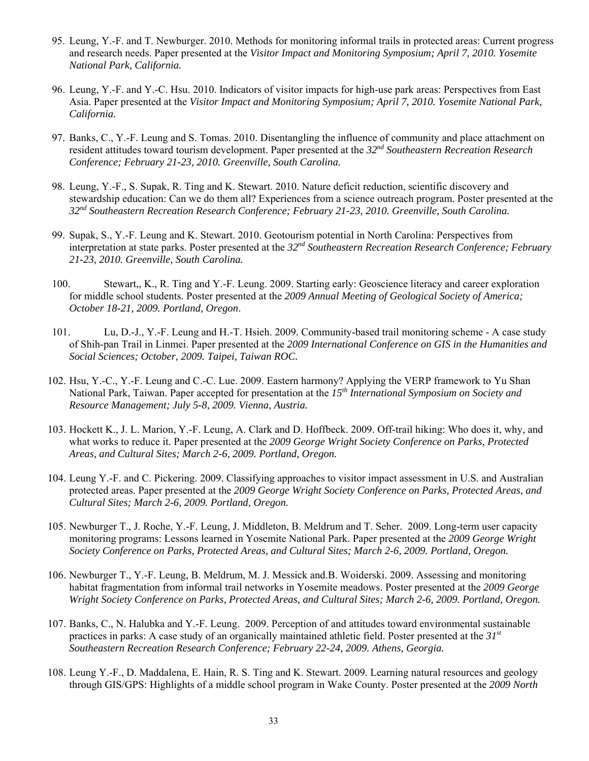- 95. Leung, Y.-F. and T. Newburger. 2010. Methods for monitoring informal trails in protected areas: Current progress and research needs. Paper presented at the *Visitor Impact and Monitoring Symposium; April 7, 2010. Yosemite National Park, California.*
- 96. Leung, Y.-F. and Y.-C. Hsu. 2010. Indicators of visitor impacts for high-use park areas: Perspectives from East Asia. Paper presented at the *Visitor Impact and Monitoring Symposium; April 7, 2010. Yosemite National Park, California.*
- 97. Banks, C., Y.-F. Leung and S. Tomas. 2010. Disentangling the influence of community and place attachment on resident attitudes toward tourism development. Paper presented at the *32nd Southeastern Recreation Research Conference; February 21-23, 2010. Greenville, South Carolina.*
- 98. Leung, Y.-F., S. Supak, R. Ting and K. Stewart. 2010. Nature deficit reduction, scientific discovery and stewardship education: Can we do them all? Experiences from a science outreach program. Poster presented at the *32nd Southeastern Recreation Research Conference; February 21-23, 2010. Greenville, South Carolina.*
- 99. Supak, S., Y.-F. Leung and K. Stewart. 2010. Geotourism potential in North Carolina: Perspectives from interpretation at state parks. Poster presented at the *32nd Southeastern Recreation Research Conference; February 21-23, 2010. Greenville, South Carolina.*
- 100. Stewart,, K., R. Ting and Y.-F. Leung. 2009. Starting early: Geoscience literacy and career exploration for middle school students. Poster presented at the *2009 Annual Meeting of Geological Society of America; October 18-21, 2009. Portland, Oregon*.
- 101. Lu, D.-J., Y.-F. Leung and H.-T. Hsieh. 2009. Community-based trail monitoring scheme A case study of Shih-pan Trail in Linmei. Paper presented at the *2009 International Conference on GIS in the Humanities and Social Sciences; October, 2009. Taipei, Taiwan ROC.*
- 102. Hsu, Y.-C., Y.-F. Leung and C.-C. Lue. 2009. Eastern harmony? Applying the VERP framework to Yu Shan National Park, Taiwan. Paper accepted for presentation at the *15th International Symposium on Society and Resource Management; July 5-8, 2009. Vienna, Austria.*
- 103. Hockett K., J. L. Marion, Y.-F. Leung, A. Clark and D. Hoffbeck. 2009. Off-trail hiking: Who does it, why, and what works to reduce it. Paper presented at the *2009 George Wright Society Conference on Parks, Protected Areas, and Cultural Sites; March 2-6, 2009. Portland, Oregon.*
- 104. Leung Y.-F. and C. Pickering. 2009. Classifying approaches to visitor impact assessment in U.S. and Australian protected areas. Paper presented at the *2009 George Wright Society Conference on Parks, Protected Areas, and Cultural Sites; March 2-6, 2009. Portland, Oregon.*
- 105. Newburger T., J. Roche, Y.-F. Leung, J. Middleton, B. Meldrum and T. Seher. 2009. Long-term user capacity monitoring programs: Lessons learned in Yosemite National Park. Paper presented at the *2009 George Wright Society Conference on Parks, Protected Areas, and Cultural Sites; March 2-6, 2009. Portland, Oregon.*
- 106. Newburger T., Y.-F. Leung, B. Meldrum, M. J. Messick and.B. Woiderski. 2009. Assessing and monitoring habitat fragmentation from informal trail networks in Yosemite meadows. Poster presented at the *2009 George Wright Society Conference on Parks, Protected Areas, and Cultural Sites; March 2-6, 2009. Portland, Oregon.*
- 107. Banks, C., N. Halubka and Y.-F. Leung. 2009. Perception of and attitudes toward environmental sustainable practices in parks: A case study of an organically maintained athletic field. Poster presented at the *31st Southeastern Recreation Research Conference; February 22-24, 2009. Athens, Georgia.*
- 108. Leung Y.-F., D. Maddalena, E. Hain, R. S. Ting and K. Stewart. 2009. Learning natural resources and geology through GIS/GPS: Highlights of a middle school program in Wake County. Poster presented at the *2009 North*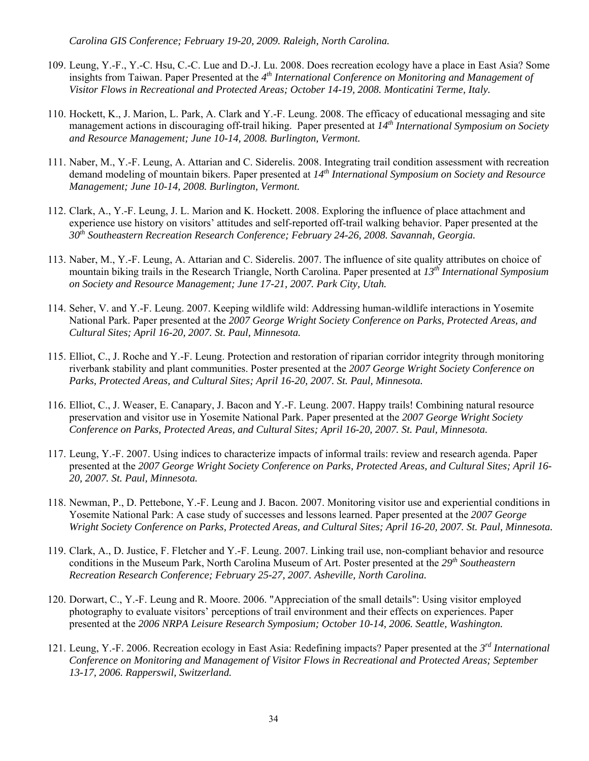*Carolina GIS Conference; February 19-20, 2009. Raleigh, North Carolina.*

- 109. Leung, Y.-F., Y.-C. Hsu, C.-C. Lue and D.-J. Lu. 2008. Does recreation ecology have a place in East Asia? Some insights from Taiwan. Paper Presented at the *4th International Conference on Monitoring and Management of Visitor Flows in Recreational and Protected Areas; October 14-19, 2008. Monticatini Terme, Italy.*
- 110. Hockett, K., J. Marion, L. Park, A. Clark and Y.-F. Leung. 2008. The efficacy of educational messaging and site management actions in discouraging off-trail hiking. Paper presented at *14th International Symposium on Society and Resource Management; June 10-14, 2008. Burlington, Vermont.*
- 111. Naber, M., Y.-F. Leung, A. Attarian and C. Siderelis. 2008. Integrating trail condition assessment with recreation demand modeling of mountain bikers. Paper presented at *14th International Symposium on Society and Resource Management; June 10-14, 2008. Burlington, Vermont.*
- 112. Clark, A., Y.-F. Leung, J. L. Marion and K. Hockett. 2008. Exploring the influence of place attachment and experience use history on visitors' attitudes and self-reported off-trail walking behavior. Paper presented at the *30th Southeastern Recreation Research Conference; February 24-26, 2008. Savannah, Georgia.*
- 113. Naber, M., Y.-F. Leung, A. Attarian and C. Siderelis. 2007. The influence of site quality attributes on choice of mountain biking trails in the Research Triangle, North Carolina. Paper presented at *13th International Symposium on Society and Resource Management; June 17-21, 2007. Park City, Utah.*
- 114. Seher, V. and Y.-F. Leung. 2007. Keeping wildlife wild: Addressing human-wildlife interactions in Yosemite National Park. Paper presented at the *2007 George Wright Society Conference on Parks, Protected Areas, and Cultural Sites; April 16-20, 2007. St. Paul, Minnesota.*
- 115. Elliot, C., J. Roche and Y.-F. Leung. Protection and restoration of riparian corridor integrity through monitoring riverbank stability and plant communities. Poster presented at the *2007 George Wright Society Conference on Parks, Protected Areas, and Cultural Sites; April 16-20, 2007. St. Paul, Minnesota.*
- 116. Elliot, C., J. Weaser, E. Canapary, J. Bacon and Y.-F. Leung. 2007. Happy trails! Combining natural resource preservation and visitor use in Yosemite National Park. Paper presented at the *2007 George Wright Society Conference on Parks, Protected Areas, and Cultural Sites; April 16-20, 2007. St. Paul, Minnesota.*
- 117. Leung, Y.-F. 2007. Using indices to characterize impacts of informal trails: review and research agenda. Paper presented at the *2007 George Wright Society Conference on Parks, Protected Areas, and Cultural Sites; April 16- 20, 2007. St. Paul, Minnesota.*
- 118. Newman, P., D. Pettebone, Y.-F. Leung and J. Bacon. 2007. Monitoring visitor use and experiential conditions in Yosemite National Park: A case study of successes and lessons learned. Paper presented at the *2007 George Wright Society Conference on Parks, Protected Areas, and Cultural Sites; April 16-20, 2007. St. Paul, Minnesota.*
- 119. Clark, A., D. Justice, F. Fletcher and Y.-F. Leung. 2007. Linking trail use, non-compliant behavior and resource conditions in the Museum Park, North Carolina Museum of Art. Poster presented at the *29th Southeastern Recreation Research Conference; February 25-27, 2007. Asheville, North Carolina.*
- 120. Dorwart, C., Y.-F. Leung and R. Moore. 2006. "Appreciation of the small details": Using visitor employed photography to evaluate visitors' perceptions of trail environment and their effects on experiences. Paper presented at the *2006 NRPA Leisure Research Symposium; October 10-14, 2006. Seattle, Washington.*
- 121. Leung, Y.-F. 2006. Recreation ecology in East Asia: Redefining impacts? Paper presented at the *3rd International Conference on Monitoring and Management of Visitor Flows in Recreational and Protected Areas; September 13-17, 2006. Rapperswil, Switzerland.*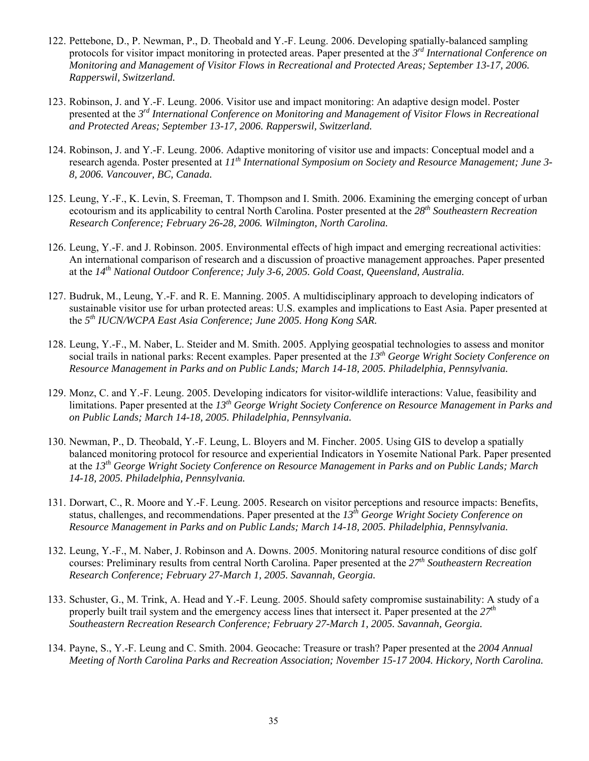- 122. Pettebone, D., P. Newman, P., D. Theobald and Y.-F. Leung. 2006. Developing spatially-balanced sampling protocols for visitor impact monitoring in protected areas. Paper presented at the *3rd International Conference on Monitoring and Management of Visitor Flows in Recreational and Protected Areas; September 13-17, 2006. Rapperswil, Switzerland.*
- 123. Robinson, J. and Y.-F. Leung. 2006. Visitor use and impact monitoring: An adaptive design model. Poster presented at the *3rd International Conference on Monitoring and Management of Visitor Flows in Recreational and Protected Areas; September 13-17, 2006. Rapperswil, Switzerland.*
- 124. Robinson, J. and Y.-F. Leung. 2006. Adaptive monitoring of visitor use and impacts: Conceptual model and a research agenda. Poster presented at *11th International Symposium on Society and Resource Management; June 3- 8, 2006. Vancouver, BC, Canada.*
- 125. Leung, Y.-F., K. Levin, S. Freeman, T. Thompson and I. Smith. 2006. Examining the emerging concept of urban ecotourism and its applicability to central North Carolina. Poster presented at the *28th Southeastern Recreation Research Conference; February 26-28, 2006. Wilmington, North Carolina.*
- 126. Leung, Y.-F. and J. Robinson. 2005. Environmental effects of high impact and emerging recreational activities: An international comparison of research and a discussion of proactive management approaches. Paper presented at the *14th National Outdoor Conference; July 3-6, 2005. Gold Coast, Queensland, Australia.*
- 127. Budruk, M., Leung, Y.-F. and R. E. Manning. 2005. A multidisciplinary approach to developing indicators of sustainable visitor use for urban protected areas: U.S. examples and implications to East Asia. Paper presented at the *5th IUCN/WCPA East Asia Conference; June 2005. Hong Kong SAR.*
- 128. Leung, Y.-F., M. Naber, L. Steider and M. Smith. 2005. Applying geospatial technologies to assess and monitor social trails in national parks: Recent examples. Paper presented at the *13th George Wright Society Conference on Resource Management in Parks and on Public Lands; March 14-18, 2005. Philadelphia, Pennsylvania.*
- 129. Monz, C. and Y.-F. Leung. 2005. Developing indicators for visitor-wildlife interactions: Value, feasibility and limitations. Paper presented at the *13th George Wright Society Conference on Resource Management in Parks and on Public Lands; March 14-18, 2005. Philadelphia, Pennsylvania.*
- 130. Newman, P., D. Theobald, Y.-F. Leung, L. Bloyers and M. Fincher. 2005. Using GIS to develop a spatially balanced monitoring protocol for resource and experiential Indicators in Yosemite National Park. Paper presented at the *13th George Wright Society Conference on Resource Management in Parks and on Public Lands; March 14-18, 2005. Philadelphia, Pennsylvania.*
- 131. Dorwart, C., R. Moore and Y.-F. Leung. 2005. Research on visitor perceptions and resource impacts: Benefits, status, challenges, and recommendations. Paper presented at the *13th George Wright Society Conference on Resource Management in Parks and on Public Lands; March 14-18, 2005. Philadelphia, Pennsylvania.*
- 132. Leung, Y.-F., M. Naber, J. Robinson and A. Downs. 2005. Monitoring natural resource conditions of disc golf courses: Preliminary results from central North Carolina. Paper presented at the *27th Southeastern Recreation Research Conference; February 27-March 1, 2005. Savannah, Georgia.*
- 133. Schuster, G., M. Trink, A. Head and Y.-F. Leung. 2005. Should safety compromise sustainability: A study of a properly built trail system and the emergency access lines that intersect it. Paper presented at the *27th Southeastern Recreation Research Conference; February 27-March 1, 2005. Savannah, Georgia.*
- 134. Payne, S., Y.-F. Leung and C. Smith. 2004. Geocache: Treasure or trash? Paper presented at the *2004 Annual Meeting of North Carolina Parks and Recreation Association; November 15-17 2004. Hickory, North Carolina.*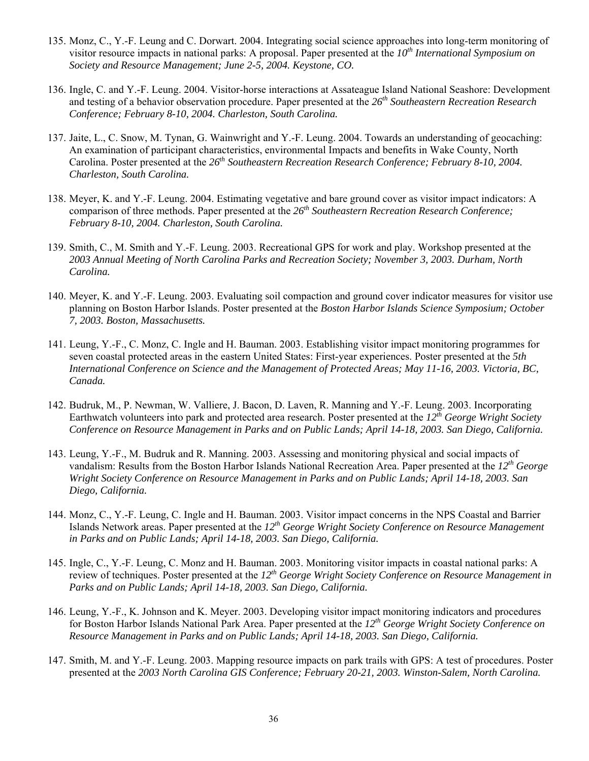- 135. Monz, C., Y.-F. Leung and C. Dorwart. 2004. Integrating social science approaches into long-term monitoring of visitor resource impacts in national parks: A proposal. Paper presented at the *10th International Symposium on Society and Resource Management; June 2-5, 2004. Keystone, CO.*
- 136. Ingle, C. and Y.-F. Leung. 2004. Visitor-horse interactions at Assateague Island National Seashore: Development and testing of a behavior observation procedure. Paper presented at the *26th Southeastern Recreation Research Conference; February 8-10, 2004. Charleston, South Carolina.*
- 137. Jaite, L., C. Snow, M. Tynan, G. Wainwright and Y.-F. Leung. 2004. Towards an understanding of geocaching: An examination of participant characteristics, environmental Impacts and benefits in Wake County, North Carolina. Poster presented at the *26th Southeastern Recreation Research Conference; February 8-10, 2004. Charleston, South Carolina.*
- 138. Meyer, K. and Y.-F. Leung. 2004. Estimating vegetative and bare ground cover as visitor impact indicators: A comparison of three methods. Paper presented at the *26th Southeastern Recreation Research Conference; February 8-10, 2004. Charleston, South Carolina.*
- 139. Smith, C., M. Smith and Y.-F. Leung. 2003. Recreational GPS for work and play. Workshop presented at the *2003 Annual Meeting of North Carolina Parks and Recreation Society; November 3, 2003. Durham, North Carolina.*
- 140. Meyer, K. and Y.-F. Leung. 2003. Evaluating soil compaction and ground cover indicator measures for visitor use planning on Boston Harbor Islands. Poster presented at the *Boston Harbor Islands Science Symposium; October 7, 2003. Boston, Massachusetts.*
- 141. Leung, Y.-F., C. Monz, C. Ingle and H. Bauman. 2003. Establishing visitor impact monitoring programmes for seven coastal protected areas in the eastern United States: First-year experiences. Poster presented at the *5th International Conference on Science and the Management of Protected Areas; May 11-16, 2003. Victoria, BC, Canada.*
- 142. Budruk, M., P. Newman, W. Valliere, J. Bacon, D. Laven, R. Manning and Y.-F. Leung. 2003. Incorporating Earthwatch volunteers into park and protected area research. Poster presented at the *12th George Wright Society Conference on Resource Management in Parks and on Public Lands; April 14-18, 2003. San Diego, California.*
- 143. Leung, Y.-F., M. Budruk and R. Manning. 2003. Assessing and monitoring physical and social impacts of vandalism: Results from the Boston Harbor Islands National Recreation Area. Paper presented at the *12th George Wright Society Conference on Resource Management in Parks and on Public Lands; April 14-18, 2003. San Diego, California.*
- 144. Monz, C., Y.-F. Leung, C. Ingle and H. Bauman. 2003. Visitor impact concerns in the NPS Coastal and Barrier Islands Network areas. Paper presented at the *12th George Wright Society Conference on Resource Management in Parks and on Public Lands; April 14-18, 2003. San Diego, California.*
- 145. Ingle, C., Y.-F. Leung, C. Monz and H. Bauman. 2003. Monitoring visitor impacts in coastal national parks: A review of techniques. Poster presented at the *12th George Wright Society Conference on Resource Management in Parks and on Public Lands; April 14-18, 2003. San Diego, California.*
- 146. Leung, Y.-F., K. Johnson and K. Meyer. 2003. Developing visitor impact monitoring indicators and procedures for Boston Harbor Islands National Park Area. Paper presented at the *12th George Wright Society Conference on Resource Management in Parks and on Public Lands; April 14-18, 2003. San Diego, California.*
- 147. Smith, M. and Y.-F. Leung. 2003. Mapping resource impacts on park trails with GPS: A test of procedures. Poster presented at the *2003 North Carolina GIS Conference; February 20-21, 2003. Winston-Salem, North Carolina.*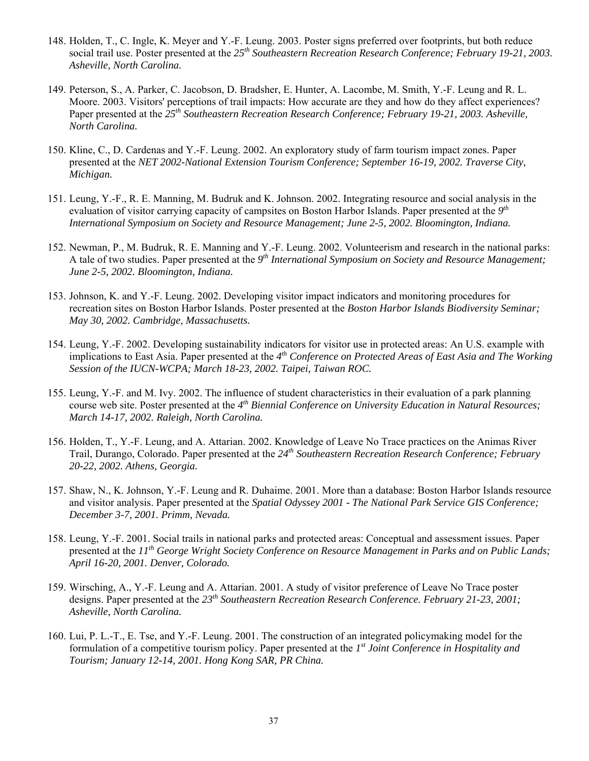- 148. Holden, T., C. Ingle, K. Meyer and Y.-F. Leung. 2003. Poster signs preferred over footprints, but both reduce social trail use. Poster presented at the *25th Southeastern Recreation Research Conference; February 19-21, 2003. Asheville, North Carolina.*
- 149. Peterson, S., A. Parker, C. Jacobson, D. Bradsher, E. Hunter, A. Lacombe, M. Smith, Y.-F. Leung and R. L. Moore. 2003. Visitors' perceptions of trail impacts: How accurate are they and how do they affect experiences? Paper presented at the *25th Southeastern Recreation Research Conference; February 19-21, 2003. Asheville, North Carolina.*
- 150. Kline, C., D. Cardenas and Y.-F. Leung. 2002. An exploratory study of farm tourism impact zones. Paper presented at the *NET 2002-National Extension Tourism Conference; September 16-19, 2002. Traverse City, Michigan.*
- 151. Leung, Y.-F., R. E. Manning, M. Budruk and K. Johnson. 2002. Integrating resource and social analysis in the evaluation of visitor carrying capacity of campsites on Boston Harbor Islands. Paper presented at the *9th International Symposium on Society and Resource Management; June 2-5, 2002. Bloomington, Indiana.*
- 152. Newman, P., M. Budruk, R. E. Manning and Y.-F. Leung. 2002. Volunteerism and research in the national parks: A tale of two studies. Paper presented at the *9th International Symposium on Society and Resource Management; June 2-5, 2002. Bloomington, Indiana.*
- 153. Johnson, K. and Y.-F. Leung. 2002. Developing visitor impact indicators and monitoring procedures for recreation sites on Boston Harbor Islands. Poster presented at the *Boston Harbor Islands Biodiversity Seminar; May 30, 2002. Cambridge, Massachusetts.*
- 154. Leung, Y.-F. 2002. Developing sustainability indicators for visitor use in protected areas: An U.S. example with implications to East Asia. Paper presented at the *4th Conference on Protected Areas of East Asia and The Working Session of the IUCN-WCPA; March 18-23, 2002. Taipei, Taiwan ROC.*
- 155. Leung, Y.-F. and M. Ivy. 2002. The influence of student characteristics in their evaluation of a park planning course web site. Poster presented at the *4th Biennial Conference on University Education in Natural Resources; March 14-17, 2002. Raleigh, North Carolina.*
- 156. Holden, T., Y.-F. Leung, and A. Attarian. 2002. Knowledge of Leave No Trace practices on the Animas River Trail, Durango, Colorado. Paper presented at the *24th Southeastern Recreation Research Conference; February 20-22, 2002. Athens, Georgia.*
- 157. Shaw, N., K. Johnson, Y.-F. Leung and R. Duhaime. 2001. More than a database: Boston Harbor Islands resource and visitor analysis. Paper presented at the *Spatial Odyssey 2001 - The National Park Service GIS Conference; December 3-7, 2001. Primm, Nevada.*
- 158. Leung, Y.-F. 2001. Social trails in national parks and protected areas: Conceptual and assessment issues. Paper presented at the *11th George Wright Society Conference on Resource Management in Parks and on Public Lands; April 16-20, 2001. Denver, Colorado.*
- 159. Wirsching, A., Y.-F. Leung and A. Attarian. 2001. A study of visitor preference of Leave No Trace poster designs. Paper presented at the *23th Southeastern Recreation Research Conference. February 21-23, 2001; Asheville, North Carolina.*
- 160. Lui, P. L.-T., E. Tse, and Y.-F. Leung. 2001. The construction of an integrated policymaking model for the formulation of a competitive tourism policy. Paper presented at the *1st Joint Conference in Hospitality and Tourism; January 12-14, 2001. Hong Kong SAR, PR China.*